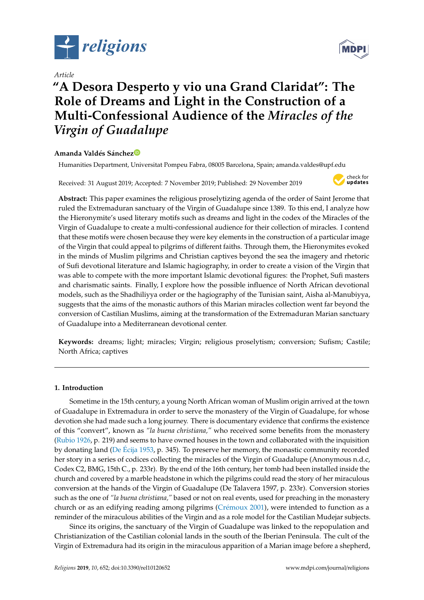

*Article*

# **"A Desora Desperto y vio una Grand Claridat": The Role of Dreams and Light in the Construction of a Multi-Confessional Audience of the** *Miracles of the Virgin of Guadalupe*

## **Amanda Valdés Sánche[z](https://orcid.org/0000-0001-9914-2479)**

Humanities Department, Universitat Pompeu Fabra, 08005 Barcelona, Spain; amanda.valdes@upf.edu

Received: 31 August 2019; Accepted: 7 November 2019; Published: 29 November 2019



**Abstract:** This paper examines the religious proselytizing agenda of the order of Saint Jerome that ruled the Extremaduran sanctuary of the Virgin of Guadalupe since 1389. To this end, I analyze how the Hieronymite's used literary motifs such as dreams and light in the codex of the Miracles of the Virgin of Guadalupe to create a multi-confessional audience for their collection of miracles. I contend that these motifs were chosen because they were key elements in the construction of a particular image of the Virgin that could appeal to pilgrims of different faiths. Through them, the Hieronymites evoked in the minds of Muslim pilgrims and Christian captives beyond the sea the imagery and rhetoric of Sufi devotional literature and Islamic hagiography, in order to create a vision of the Virgin that was able to compete with the more important Islamic devotional figures: the Prophet, Sufi masters and charismatic saints. Finally, I explore how the possible influence of North African devotional models, such as the Shadhiliyya order or the hagiography of the Tunisian saint, Aisha al-Manubiyya, suggests that the aims of the monastic authors of this Marian miracles collection went far beyond the conversion of Castilian Muslims, aiming at the transformation of the Extremaduran Marian sanctuary of Guadalupe into a Mediterranean devotional center.

**Keywords:** dreams; light; miracles; Virgin; religious proselytism; conversion; Sufism; Castile; North Africa; captives

## **1. Introduction**

Sometime in the 15th century, a young North African woman of Muslim origin arrived at the town of Guadalupe in Extremadura in order to serve the monastery of the Virgin of Guadalupe, for whose devotion she had made such a long journey. There is documentary evidence that confirms the existence of this "convert", known as *"la buena christiana,"* who received some benefits from the monastery [\(Rubio](#page-19-0) [1926,](#page-19-0) p. 219) and seems to have owned houses in the town and collaborated with the inquisition by donating land (De É[cija](#page-16-0) [1953,](#page-16-0) p. 345). To preserve her memory, the monastic community recorded her story in a series of codices collecting the miracles of the Virgin of Guadalupe (Anonymous n.d.c, Codex C2, BMG, 15th C., p. 233r). By the end of the 16th century, her tomb had been installed inside the church and covered by a marble headstone in which the pilgrims could read the story of her miraculous conversion at the hands of the Virgin of Guadalupe (De Talavera 1597, p. 233r). Conversion stories such as the one of *"la buena christiana,"* based or not on real events, used for preaching in the monastery church or as an edifying reading among pilgrims (Cré[moux](#page-16-1) [2001\)](#page-16-1), were intended to function as a reminder of the miraculous abilities of the Virgin and as a role model for the Castilian Mudejar subjects.

Since its origins, the sanctuary of the Virgin of Guadalupe was linked to the repopulation and Christianization of the Castilian colonial lands in the south of the Iberian Peninsula. The cult of the Virgin of Extremadura had its origin in the miraculous apparition of a Marian image before a shepherd,

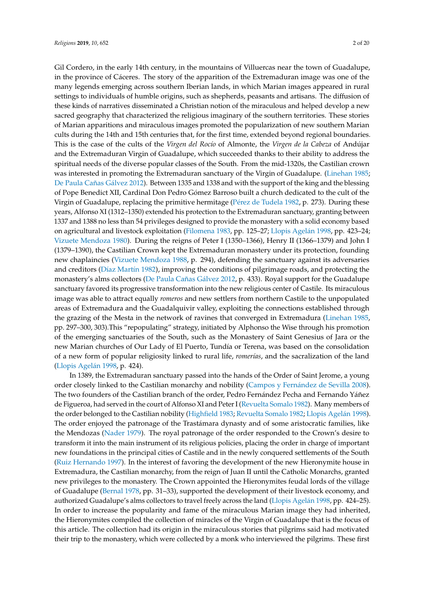Gil Cordero, in the early 14th century, in the mountains of Villuercas near the town of Guadalupe, in the province of Cáceres. The story of the apparition of the Extremaduran image was one of the many legends emerging across southern Iberian lands, in which Marian images appeared in rural settings to individuals of humble origins, such as shepherds, peasants and artisans. The diffusion of these kinds of narratives disseminated a Christian notion of the miraculous and helped develop a new sacred geography that characterized the religious imaginary of the southern territories. These stories of Marian apparitions and miraculous images promoted the popularization of new southern Marian cults during the 14th and 15th centuries that, for the first time, extended beyond regional boundaries. This is the case of the cults of the *Virgen del Rocío* of Almonte, the *Virgen de la Cabeza* of Andújar and the Extremaduran Virgin of Guadalupe, which succeeded thanks to their ability to address the spiritual needs of the diverse popular classes of the South. From the mid-1320s, the Castilian crown was interested in promoting the Extremaduran sanctuary of the Virgin of Guadalupe. [\(Linehan](#page-18-0) [1985;](#page-18-0) [De Paula Cañas G](#page-16-2)álvez [2012\)](#page-16-2). Between 1335 and 1338 and with the support of the king and the blessing of Pope Benedict XII, Cardinal Don Pedro Gómez Barroso built a church dedicated to the cult of the Virgin of Guadalupe, replacing the primitive hermitage (Pé[rez de Tudela](#page-18-1) [1982,](#page-18-1) p. 273). During these years, Alfonso XI (1312–1350) extended his protection to the Extremaduran sanctuary, granting between 1337 and 1388 no less than 54 privileges designed to provide the monastery with a solid economy based on agricultural and livestock exploitation [\(Filomena](#page-17-0) [1983,](#page-17-0) pp. 125–27; [Llopis Agel](#page-18-2)án [1998,](#page-18-2) pp. 423–24; [Vizuete Mendoza](#page-19-1) [1980\)](#page-19-1). During the reigns of Peter I (1350–1366), Henry II (1366–1379) and John I (1379–1390), the Castilian Crown kept the Extremaduran monastery under its protection, founding new chaplaincies [\(Vizuete Mendoza](#page-19-2) [1988,](#page-19-2) p. 294), defending the sanctuary against its adversaries and creditors (Dí[az Mart](#page-16-3)ín [1982\)](#page-16-3), improving the conditions of pilgrimage roads, and protecting the monastery's alms collectors [\(De Paula Cañas G](#page-16-2)álvez [2012,](#page-16-2) p. 433). Royal support for the Guadalupe sanctuary favored its progressive transformation into the new religious center of Castile. Its miraculous image was able to attract equally *romeros* and new settlers from northern Castile to the unpopulated areas of Extremadura and the Guadalquivir valley, exploiting the connections established through the grazing of the Mesta in the network of ravines that converged in Extremadura [\(Linehan](#page-18-0) [1985,](#page-18-0) pp. 297–300, 303).This "repopulating" strategy, initiated by Alphonso the Wise through his promotion of the emerging sanctuaries of the South, such as the Monastery of Saint Genesius of Jara or the new Marian churches of Our Lady of El Puerto, Tundía or Terena, was based on the consolidation of a new form of popular religiosity linked to rural life, *romerías*, and the sacralization of the land [\(Llopis Agel](#page-18-2)án [1998,](#page-18-2) p. 424).

In 1389, the Extremaduran sanctuary passed into the hands of the Order of Saint Jerome, a young order closely linked to the Castilian monarchy and nobility [\(Campos y Fern](#page-16-4)ández de Sevilla [2008\)](#page-16-4). The two founders of the Castilian branch of the order, Pedro Fernández Pecha and Fernando Yáñez de Figueroa, had served in the court of Alfonso XI and Peter I [\(Revuelta Somalo](#page-18-3) [1982\)](#page-18-3). Many members of the order belonged to the Castilian nobility [\(Highfield](#page-17-1) [1983;](#page-17-1) [Revuelta Somalo](#page-18-3) [1982;](#page-18-3) [Llopis Agel](#page-18-2)án [1998\)](#page-18-2). The order enjoyed the patronage of the Trastámara dynasty and of some aristocratic families, like the Mendozas [\(Nader](#page-18-4) [1979\)](#page-18-4). The royal patronage of the order responded to the Crown's desire to transform it into the main instrument of its religious policies, placing the order in charge of important new foundations in the principal cities of Castile and in the newly conquered settlements of the South [\(Ruiz Hernando](#page-19-3) [1997\)](#page-19-3). In the interest of favoring the development of the new Hieronymite house in Extremadura, the Castilian monarchy, from the reign of Juan II until the Catholic Monarchs, granted new privileges to the monastery. The Crown appointed the Hieronymites feudal lords of the village of Guadalupe [\(Bernal](#page-16-5) [1978,](#page-16-5) pp. 31–33), supported the development of their livestock economy, and authorized Guadalupe's alms collectors to travel freely across the land [\(Llopis Agel](#page-18-2)án [1998,](#page-18-2) pp. 424–25). In order to increase the popularity and fame of the miraculous Marian image they had inherited, the Hieronymites compiled the collection of miracles of the Virgin of Guadalupe that is the focus of this article. The collection had its origin in the miraculous stories that pilgrims said had motivated their trip to the monastery, which were collected by a monk who interviewed the pilgrims. These first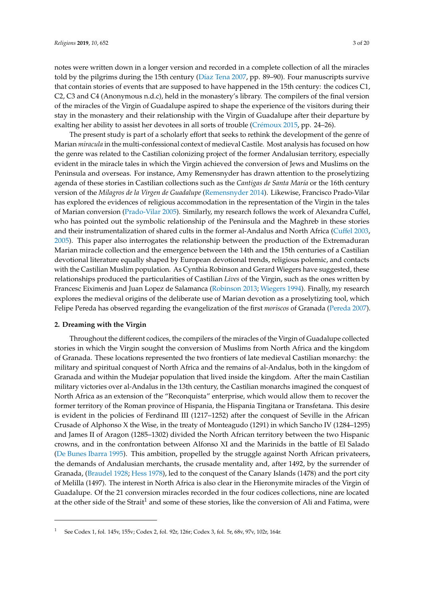notes were written down in a longer version and recorded in a complete collection of all the miracles told by the pilgrims during the 15th century (Dí[az Tena](#page-16-6) [2007,](#page-16-6) pp. 89–90). Four manuscripts survive that contain stories of events that are supposed to have happened in the 15th century: the codices C1, C2, C3 and C4 (Anonymous n.d.c), held in the monastery's library. The compilers of the final version of the miracles of the Virgin of Guadalupe aspired to shape the experience of the visitors during their stay in the monastery and their relationship with the Virgin of Guadalupe after their departure by exalting her ability to assist her devotees in all sorts of trouble (Cré[moux](#page-16-7) [2015,](#page-16-7) pp. 24–26).

The present study is part of a scholarly effort that seeks to rethink the development of the genre of Marian *miracula* in the multi-confessional context of medieval Castile. Most analysis has focused on how the genre was related to the Castilian colonizing project of the former Andalusian territory, especially evident in the miracle tales in which the Virgin achieved the conversion of Jews and Muslims on the Peninsula and overseas. For instance, Amy Remensnyder has drawn attention to the proselytizing agenda of these stories in Castilian collections such as the *Cantigas de Santa María* or the 16th century version of the *Milagros de la Virgen de Guadalupe* [\(Remensnyder](#page-18-5) [2014\)](#page-18-5). Likewise, Francisco Prado-Vilar has explored the evidences of religious accommodation in the representation of the Virgin in the tales of Marian conversion [\(Prado-Vilar](#page-18-6) [2005\)](#page-18-6). Similarly, my research follows the work of Alexandra Cuffel, who has pointed out the symbolic relationship of the Peninsula and the Maghreb in these stories and their instrumentalization of shared cults in the former al-Andalus and North Africa [\(Cu](#page-16-8)ffel [2003,](#page-16-8) [2005\)](#page-16-9). This paper also interrogates the relationship between the production of the Extremaduran Marian miracle collection and the emergence between the 14th and the 15th centuries of a Castilian devotional literature equally shaped by European devotional trends, religious polemic, and contacts with the Castilian Muslim population. As Cynthia Robinson and Gerard Wiegers have suggested, these relationships produced the particularities of Castilian *Lives* of the Virgin, such as the ones written by Francesc Eiximenis and Juan Lopez de Salamanca [\(Robinson](#page-18-7) [2013;](#page-18-7) [Wiegers](#page-19-4) [1994\)](#page-19-4). Finally, my research explores the medieval origins of the deliberate use of Marian devotion as a proselytizing tool, which Felipe Pereda has observed regarding the evangelization of the first *moriscos* of Granada [\(Pereda](#page-18-8) [2007\)](#page-18-8).

## **2. Dreaming with the Virgin**

Throughout the different codices, the compilers of the miracles of the Virgin of Guadalupe collected stories in which the Virgin sought the conversion of Muslims from North Africa and the kingdom of Granada. These locations represented the two frontiers of late medieval Castilian monarchy: the military and spiritual conquest of North Africa and the remains of al-Andalus, both in the kingdom of Granada and within the Mudejar population that lived inside the kingdom. After the main Castilian military victories over al-Andalus in the 13th century, the Castilian monarchs imagined the conquest of North Africa as an extension of the "Reconquista" enterprise, which would allow them to recover the former territory of the Roman province of Hispania, the Hispania Tingitana or Transfetana. This desire is evident in the policies of Ferdinand III (1217–1252) after the conquest of Seville in the African Crusade of Alphonso X the Wise, in the treaty of Monteagudo (1291) in which Sancho IV (1284–1295) and James II of Aragon (1285–1302) divided the North African territory between the two Hispanic crowns, and in the confrontation between Alfonso XI and the Marinids in the battle of El Salado [\(De Bunes Ibarra](#page-16-10) [1995\)](#page-16-10). This ambition, propelled by the struggle against North African privateers, the demands of Andalusian merchants, the crusade mentality and, after 1492, by the surrender of Granada, [\(Braudel](#page-16-11) [1928;](#page-16-11) [Hess](#page-17-2) [1978\)](#page-17-2), led to the conquest of the Canary Islands (1478) and the port city of Melilla (1497). The interest in North Africa is also clear in the Hieronymite miracles of the Virgin of Guadalupe. Of the 21 conversion miracles recorded in the four codices collections, nine are located at the other side of the Strait<sup>1</sup> and some of these stories, like the conversion of Ali and Fatima, were

<sup>1</sup> See Codex 1, fol. 145v, 155v; Codex 2, fol. 92r, 126r; Codex 3, fol. 5r, 68v, 97v, 102r, 164r.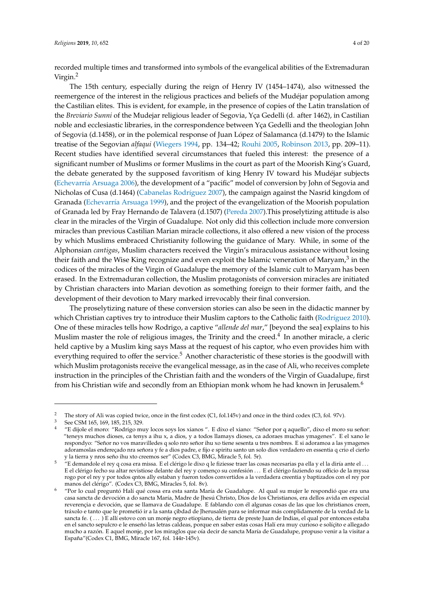recorded multiple times and transformed into symbols of the evangelical abilities of the Extremaduran Virgin.<sup>2</sup>

The 15th century, especially during the reign of Henry IV (1454–1474), also witnessed the reemergence of the interest in the religious practices and beliefs of the Mudéjar population among the Castilian elites. This is evident, for example, in the presence of copies of the Latin translation of the *Breviario Sunni* of the Mudejar religious leader of Segovia, Yça Gedelli (d. after 1462), in Castilian noble and ecclesiastic libraries, in the correspondence between Yça Gedelli and the theologian John of Segovia (d.1458), or in the polemical response of Juan López of Salamanca (d.1479) to the Islamic treatise of the Segovian *alfaqui* [\(Wiegers](#page-19-4) [1994,](#page-19-4) pp. 134–42; [Rouhi](#page-19-5) [2005,](#page-19-5) [Robinson](#page-18-7) [2013,](#page-18-7) pp. 209–11). Recent studies have identified several circumstances that fueled this interest: the presence of a significant number of Muslims or former Muslims in the court as part of the Moorish King's Guard, the debate generated by the supposed favoritism of king Henry IV toward his Mudéjar subjects (Echevarrí[a Arsuaga](#page-17-3) [2006\)](#page-17-3), the development of a "pacific" model of conversion by John of Segovia and Nicholas of Cusa (d.1464) [\(Cabanelas Rodr](#page-16-12)íguez [2007\)](#page-16-12), the campaign against the Nasrid kingdom of Granada (Echevarrí[a Arsuaga](#page-17-4) [1999\)](#page-17-4), and the project of the evangelization of the Moorish population of Granada led by Fray Hernando de Talavera (d.1507) [\(Pereda](#page-18-8) [2007\)](#page-18-8).This proselytizing attitude is also clear in the miracles of the Virgin of Guadalupe. Not only did this collection include more conversion miracles than previous Castilian Marian miracle collections, it also offered a new vision of the process by which Muslims embraced Christianity following the guidance of Mary. While, in some of the Alphonsian *cantigas*, Muslim characters received the Virgin's miraculous assistance without losing their faith and the Wise King recognize and even exploit the Islamic veneration of Maryam, $^3$  in the codices of the miracles of the Virgin of Guadalupe the memory of the Islamic cult to Maryam has been erased. In the Extremaduran collection, the Muslim protagonists of conversion miracles are initiated by Christian characters into Marian devotion as something foreign to their former faith, and the development of their devotion to Mary marked irrevocably their final conversion.

The proselytizing nature of these conversion stories can also be seen in the didactic manner by which Christian captives try to introduce their Muslim captors to the Catholic faith [\(Rodr](#page-18-9)íguez [2010\)](#page-18-9). One of these miracles tells how Rodrigo, a captive "*allende del mar*," [beyond the sea] explains to his Muslim master the role of religious images, the Trinity and the creed. $4$  In another miracle, a cleric held captive by a Muslim king says Mass at the request of his captor, who even provides him with everything required to offer the service.<sup>5</sup> Another characteristic of these stories is the goodwill with which Muslim protagonists receive the evangelical message, as in the case of Ali, who receives complete instruction in the principles of the Christian faith and the wonders of the Virgin of Guadalupe, first from his Christian wife and secondly from an Ethiopian monk whom he had known in Jerusalem.<sup>6</sup>

The story of Ali was copied twice, once in the first codex (C1, fol.145v) and once in the third codex (C3, fol. 97v).

<sup>3</sup> See CSM 165, 169, 185, 215, 329.

<sup>4</sup> "E dijole el moro: "Rodrigo muy locos soys los xianos ". E dixo el xiano: "Señor por q aquello", dixo el moro su señor: "teneys muchos dioses, ca tenys a ihu x, a dios, y a todos llamays dioses, ca adoraes muchas ymagenes". E el xano le respondyo: "Señor no vos maravilledes q solo nro señor ihu xo tiene sesenta u tres nombres. E si adoramoa a las ymagenes adoramoslas endereçado nra señora y fe a dios padre, e fijo e spiritu santo un solo dios verdadero en essentia q crio el cierlo y la tierra y nros seño ihu xto creemos ser" (Codex C3, BMG, Miracle 5, fol. 5r).

 $^5$   $\,$  "E demandole el rey q cosa era missa. E el clérigo le dixo q le fiziesse traer las cosas necesarias pa ella y el la diría ante el  $\ldots$ E el clérigo fecho su altar revistiose delante del rey y començo su confesión . . . E el clérigo faziendo su officio de la myssa rogo por el rey y por todos qntos ally estaban y fueron todos convertidos a la verdadera creentia y baptizados con el rey por manos del clérigo". (Codex C3, BMG, Miracles 5, fol. 8v).

<sup>6</sup> "Por lo cual preguntó Halí qué cossa era esta santa María de Guadalupe. Al qual su mujer le respondió que era una casa sancta de devoción a do sancta María, Madre de Jhesú Christo, Dios de los Christianos, era dellos avida en especial reverençia e devoción, que se llamava de Guadalupe. E fablando con él algunas cosas de las que los christianos creen, tráxolo e tanto que le prometió ir a la santa çibdad de Jherusalén para se informar más complidamente de la verdad de la sancta fe.  $(\ldots)$  E allí estovo con un monje negro etiopiano, de tierra de preste Juan de Indias, el qual por entonces estaba en el sancto sepulcro e le enseñó las letras caldeas, porque en saber estas cosas Halí era muy curioso e solíçito e allegado mucho a razón. E aquel monje, por los miraglos que oía decir de sancta María de Guadalupe, propuso venir a la visitar a España"(Codex C1, BMG, Miracle 167, fol. 144r-145v).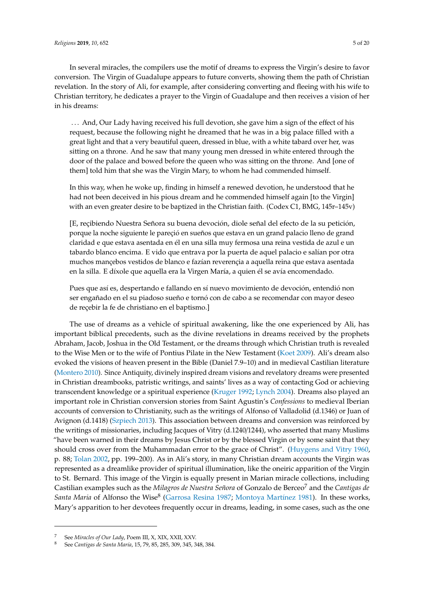In several miracles, the compilers use the motif of dreams to express the Virgin's desire to favor conversion. The Virgin of Guadalupe appears to future converts, showing them the path of Christian revelation. In the story of Ali, for example, after considering converting and fleeing with his wife to Christian territory, he dedicates a prayer to the Virgin of Guadalupe and then receives a vision of her in his dreams:

. . . And, Our Lady having received his full devotion, she gave him a sign of the effect of his request, because the following night he dreamed that he was in a big palace filled with a great light and that a very beautiful queen, dressed in blue, with a white tabard over her, was sitting on a throne. And he saw that many young men dressed in white entered through the door of the palace and bowed before the queen who was sitting on the throne. And [one of them] told him that she was the Virgin Mary, to whom he had commended himself.

In this way, when he woke up, finding in himself a renewed devotion, he understood that he had not been deceived in his pious dream and he commended himself again [to the Virgin] with an even greater desire to be baptized in the Christian faith. (Codex C1, BMG, 145r–145v)

[E, reçibiendo Nuestra Señora su buena devoción, diole señal del efecto de la su petición, porque la noche siguiente le pareçió en sueños que estava en un grand palacio lleno de grand claridad e que estava asentada en él en una silla muy fermosa una reina vestida de azul e un tabardo blanco encima. E vido que entrava por la puerta de aquel palacio e salían por otra muchos mançebos vestidos de blanco e fazían reverençia a aquella reina que estava asentada en la silla. E díxole que aquella era la Virgen María, a quien él se avía encomendado.

Pues que así es, despertando e fallando en sí nuevo movimiento de devoción, entendió non ser engañado en el su piadoso sueño e tornó con de cabo a se recomendar con mayor deseo de reçebir la fe de christiano en el baptismo.]

The use of dreams as a vehicle of spiritual awakening, like the one experienced by Ali, has important biblical precedents, such as the divine revelations in dreams received by the prophets Abraham, Jacob, Joshua in the Old Testament, or the dreams through which Christian truth is revealed to the Wise Men or to the wife of Pontius Pilate in the New Testament [\(Koet](#page-17-5) [2009\)](#page-17-5). Ali's dream also evoked the visions of heaven present in the Bible (Daniel 7.9–10) and in medieval Castilian literature [\(Montero](#page-18-10) [2010\)](#page-18-10). Since Antiquity, divinely inspired dream visions and revelatory dreams were presented in Christian dreambooks, patristic writings, and saints' lives as a way of contacting God or achieving transcendent knowledge or a spiritual experience [\(Kruger](#page-17-6) [1992;](#page-17-6) [Lynch](#page-18-11) [2004\)](#page-18-11). Dreams also played an important role in Christian conversion stories from Saint Agustin's *Confessions* to medieval Iberian accounts of conversion to Christianity, such as the writings of Alfonso of Valladolid (d.1346) or Juan of Avignon (d.1418) [\(Szpiech](#page-19-6) [2013\)](#page-19-6). This association between dreams and conversion was reinforced by the writings of missionaries, including Jacques of Vitry (d.1240/1244), who asserted that many Muslims "have been warned in their dreams by Jesus Christ or by the blessed Virgin or by some saint that they should cross over from the Muhammadan error to the grace of Christ". [\(Huygens and Vitry](#page-17-7) [1960,](#page-17-7) p. 88; [Tolan](#page-19-7) [2002,](#page-19-7) pp. 199–200). As in Ali's story, in many Christian dream accounts the Virgin was represented as a dreamlike provider of spiritual illumination, like the oneiric apparition of the Virgin to St. Bernard. This image of the Virgin is equally present in Marian miracle collections, including Castilian examples such as the *Milagros de Nuestra Señora* of Gonzalo de Berceo<sup>7</sup> and the *Cantigas de* Santa Maria of Alfonso the Wise<sup>8</sup> [\(Garrosa Resina](#page-17-8) [1987;](#page-17-8) [Montoya Mart](#page-18-12)ínez [1981\)](#page-18-12). In these works, Mary's apparition to her devotees frequently occur in dreams, leading, in some cases, such as the one

<sup>7</sup> See *Miracles of Our Lady*, Poem III, X, XIX, XXII, XXV.

<sup>8</sup> See *Cantigas de Santa María*, 15, 79, 85, 285, 309, 345, 348, 384.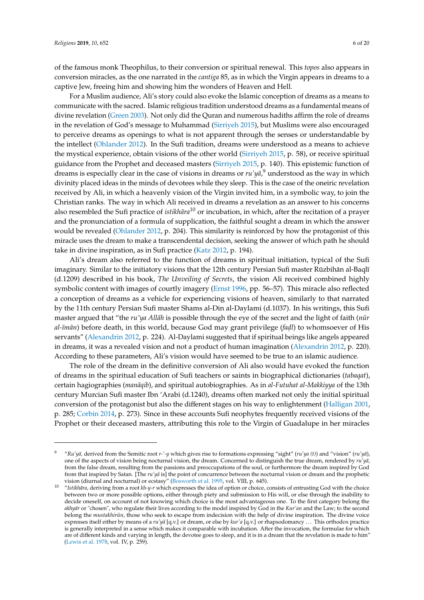of the famous monk Theophilus, to their conversion or spiritual renewal. This *topos* also appears in conversion miracles, as the one narrated in the *cantiga* 85, as in which the Virgin appears in dreams to a captive Jew, freeing him and showing him the wonders of Heaven and Hell.

For a Muslim audience, Ali's story could also evoke the Islamic conception of dreams as a means to communicate with the sacred. Islamic religious tradition understood dreams as a fundamental means of divine revelation [\(Green](#page-17-9) [2003\)](#page-17-9). Not only did the Quran and numerous hadiths affirm the role of dreams in the revelation of God's message to Muhammad [\(Sirriyeh](#page-19-8) [2015\)](#page-19-8), but Muslims were also encouraged to perceive dreams as openings to what is not apparent through the senses or understandable by the intellect [\(Ohlander](#page-18-13) [2012\)](#page-18-13). In the Sufi tradition, dreams were understood as a means to achieve the mystical experience, obtain visions of the other world [\(Sirriyeh](#page-19-8) [2015,](#page-19-8) p. 58), or receive spiritual guidance from the Prophet and deceased masters [\(Sirriyeh](#page-19-8) [2015,](#page-19-8) p. 140). This epistemic function of dreams is especially clear in the case of visions in dreams or  $ru'y\bar{a}$ <sup>9</sup> understood as the way in which divinity placed ideas in the minds of devotees while they sleep. This is the case of the oneiric revelation received by Ali, in which a heavenly vision of the Virgin invited him, in a symbolic way, to join the Christian ranks. The way in which Ali received in dreams a revelation as an answer to his concerns also resembled the Sufi practice of *istikhāra*<sup>10</sup> or incubation, in which, after the recitation of a prayer and the pronunciation of a formula of supplication, the faithful sought a dream in which the answer would be revealed [\(Ohlander](#page-18-13) [2012,](#page-18-13) p. 204). This similarity is reinforced by how the protagonist of this miracle uses the dream to make a transcendental decision, seeking the answer of which path he should take in divine inspiration, as in Sufi practice [\(Katz](#page-17-10) [2012,](#page-17-10) p. 194).

Ali's dream also referred to the function of dreams in spiritual initiation, typical of the Sufi imaginary. Similar to the initiatory visions that the 12th century Persian Sufi master Rūzbihān al-Baqlī (d.1209) described in his book, *The Unveiling of Secrets*, the vision Ali received combined highly symbolic content with images of courtly imagery [\(Ernst](#page-17-11) [1996,](#page-17-11) pp. 56–57). This miracle also reflected a conception of dreams as a vehicle for experiencing visions of heaven, similarly to that narrated by the 11th century Persian Sufi master Shams al-Din al-Daylami (d.1037). In his writings, this Sufi master argued that "the *ru˘ya Allāh* is possible through the eye of the secret and the light of faith (*nūr al-¯ıman¯* ) before death, in this world, because God may grant privilege (*fad. l*) to whomsoever of His servants" [\(Alexandrin](#page-15-0) [2012,](#page-15-0) p. 224). Al-Daylami suggested that if spiritual beings like angels appeared in dreams, it was a revealed vision and not a product of human imagination [\(Alexandrin](#page-15-0) [2012,](#page-15-0) p. 220). According to these parameters, Ali's vision would have seemed to be true to an islamic audience.

The role of the dream in the definitive conversion of Ali also would have evoked the function of dreams in the spiritual education of Sufi teachers or saints in biographical dictionaries (*tabaqat*), certain hagiographies (*manāqib*), and spiritual autobiographies. As in *al-Futuhat al-Makkiyya* of the 13th century Murcian Sufi master Ibn 'Arabi (d.1240), dreams often marked not only the initial spiritual conversion of the protagonist but also the different stages on his way to enlightenment [\(Halligan](#page-17-12) [2001,](#page-17-12) p. 285; [Corbin](#page-16-13) [2014,](#page-16-13) p. 273). Since in these accounts Sufi neophytes frequently received visions of the Prophet or their deceased masters, attributing this role to the Virgin of Guadalupe in her miracles

<sup>&</sup>quot;Ru'yā, derived from the Semitic root *r-'-y* which gives rise to formations expressing "sight" (*ru'ya* (*t*)) and "vision" (*ru'yā*), one of the aspects of vision being nocturnal vision, the dream. Concerned to distinguish the true dream, rendered by  $ru'y\bar{a}$ , from the false dream, resulting from the passions and preoccupations of the soul, or furthermore the dream inspired by God from that inspired by Satan. [The *ru'yā* is] the point of concurrence between the nocturnal vision or dream and the prophetic vision (diurnal and nocturnal) or ecstasy" [\(Bosworth et al.](#page-16-14) [1995,](#page-16-14) vol. VIII, p. 645).

<sup>&</sup>lt;sup>10</sup> "Istikhāra, deriving from a root kh-y-r which expresses the idea of option or choice, consists of entrusting God with the choice between two or more possible options, either through piety and submission to His will, or else through the inability to decide oneself, on account of not knowing which choice is the most advantageous one. To the first category belong the *akhyār* or "chosen", who regulate their lives according to the model inspired by God in the *Kur'an* and the Law; to the second belong the *mustakhirūn*, those who seek to escape from indecision with the help of divine inspiration. The divine voice expresses itself either by means of a *ru'ya¯* [q.v.] or dream, or else by *kur'a* [q.v.] or rhapsodomancy . . . This orthodox practice is generally interpreted in a sense which makes it comparable with incubation. After the invocation, the formulae for which are of different kinds and varying in length, the devotee goes to sleep, and it is in a dream that the revelation is made to him" [\(Lewis et al.](#page-18-14) [1978,](#page-18-14) vol. IV, p. 259).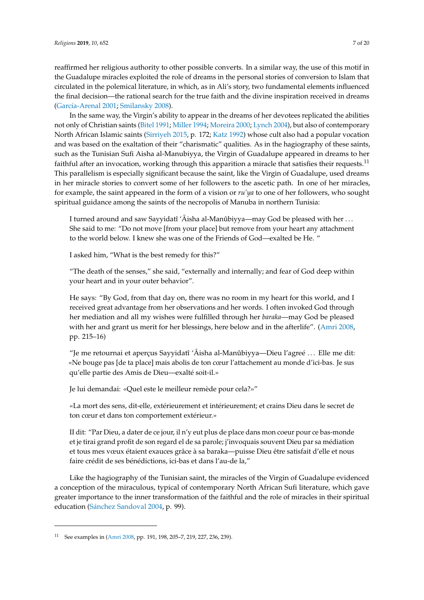reaffirmed her religious authority to other possible converts. In a similar way, the use of this motif in the Guadalupe miracles exploited the role of dreams in the personal stories of conversion to Islam that circulated in the polemical literature, in which, as in Ali's story, two fundamental elements influenced the final decision—the rational search for the true faith and the divine inspiration received in dreams (Garcí[a-Arenal](#page-17-13) [2001;](#page-17-13) [Smilansky](#page-19-9) [2008\)](#page-19-9).

In the same way, the Virgin's ability to appear in the dreams of her devotees replicated the abilities not only of Christian saints [\(Bitel](#page-16-15) [1991;](#page-16-15) [Miller](#page-18-15) [1994;](#page-18-15) [Moreira](#page-18-16) [2000;](#page-18-16) [Lynch](#page-18-11) [2004\)](#page-18-11), but also of contemporary North African Islamic saints [\(Sirriyeh](#page-19-8) [2015,](#page-19-8) p. 172; [Katz](#page-17-14) [1992\)](#page-17-14) whose cult also had a popular vocation and was based on the exaltation of their "charismatic" qualities. As in the hagiography of these saints, such as the Tunisian Sufi Aisha al-Manubiyya, the Virgin of Guadalupe appeared in dreams to her faithful after an invocation, working through this apparition a miracle that satisfies their requests.<sup>11</sup> This parallelism is especially significant because the saint, like the Virgin of Guadalupe, used dreams in her miracle stories to convert some of her followers to the ascetic path. In one of her miracles, for example, the saint appeared in the form of a vision or *ru'ya* to one of her followers, who sought spiritual guidance among the saints of the necropolis of Manuba in northern Tunisia:

I turned around and saw Sayyidatî 'Aisha al-Manûbiyya—may God be pleased with her  $\dots$ She said to me: "Do not move [from your place] but remove from your heart any attachment to the world below. I knew she was one of the Friends of God—exalted be He. "

I asked him, "What is the best remedy for this?"

"The death of the senses," she said, "externally and internally; and fear of God deep within your heart and in your outer behavior".

He says: "By God, from that day on, there was no room in my heart for this world, and I received great advantage from her observations and her words. I often invoked God through her mediation and all my wishes were fulfilled through her *baraka*—may God be pleased with her and grant us merit for her blessings, here below and in the afterlife". [\(Amri](#page-15-1) [2008,](#page-15-1) pp. 215–16)

"Je me retournai et aperçus Sayyidatî 'Âisha al-Manûbiyya—Dieu l'agreé . . . Elle me dit: «Ne bouge pas [de ta place] mais abolis de ton cœur l'attachement au monde d'ici-bas. Je sus qu'elle partie des Amis de Dieu—exalté soit-il.»

Je lui demandai: «Quel este le meilleur remède pour cela?»"

«La mort des sens, dit-elle, extérieurement et intérieurement; et crains Dieu dans le secret de ton cœur et dans ton comportement extérieur.»

II dit: "Par Dieu, a dater de ce jour, il n'y eut plus de place dans mon coeur pour ce bas-monde et je tirai grand profit de son regard el de sa parole; j'invoquais souvent Dieu par sa médiation et tous mes vœux étaient exauces grâce à sa baraka—puisse Dieu être satisfait d'elle et nous faire crédit de ses bénédictions, ici-bas et dans l'au-de la,"

Like the hagiography of the Tunisian saint, the miracles of the Virgin of Guadalupe evidenced a conception of the miraculous, typical of contemporary North African Sufi literature, which gave greater importance to the inner transformation of the faithful and the role of miracles in their spiritual education (Sá[nchez Sandoval](#page-19-10) [2004,](#page-19-10) p. 99).

<sup>11</sup> See examples in [\(Amri](#page-15-1) [2008,](#page-15-1) pp. 191, 198, 205–7, 219, 227, 236, 239).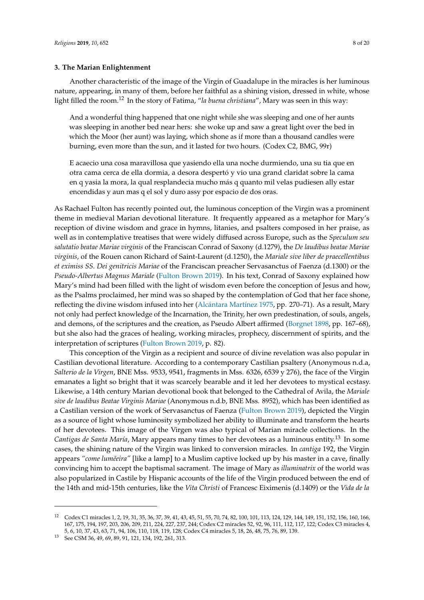#### **3. The Marian Enlightenment**

Another characteristic of the image of the Virgin of Guadalupe in the miracles is her luminous nature, appearing, in many of them, before her faithful as a shining vision, dressed in white, whose light filled the room.<sup>12</sup> In the story of Fatima, "*la buena christiana*", Mary was seen in this way:

And a wonderful thing happened that one night while she was sleeping and one of her aunts was sleeping in another bed near hers: she woke up and saw a great light over the bed in which the Moor (her aunt) was laying, which shone as if more than a thousand candles were burning, even more than the sun, and it lasted for two hours. (Codex C2, BMG, 99r)

E acaecio una cosa maravillosa que yasiendo ella una noche durmiendo, una su tia que en otra cama cerca de ella dormia, a desora despertó y vio una grand claridat sobre la cama en q yasia la mora, la qual resplandecia mucho más q quanto mil velas pudiesen ally estar encendidas y aun mas q el sol y duro assy por espacio de dos oras.

As Rachael Fulton has recently pointed out, the luminous conception of the Virgin was a prominent theme in medieval Marian devotional literature. It frequently appeared as a metaphor for Mary's reception of divine wisdom and grace in hymns, litanies, and psalters composed in her praise, as well as in contemplative treatises that were widely diffused across Europe, such as the *Speculum seu salutatio beatae Mariae virginis* of the Franciscan Conrad of Saxony (d.1279), the *De laudibus beatae Mariae virginis,* of the Rouen canon Richard of Saint-Laurent (d.1250), the *Mariale sive liber de praecellentibus et eximiss SS. Dei genitricis Mariae* of the Franciscan preacher Servasanctus of Faenza (d.1300) or the *Pseudo-Albertus Magnus Mariale* [\(Fulton Brown](#page-17-15) [2019\)](#page-17-15). In his text, Conrad of Saxony explained how Mary's mind had been filled with the light of wisdom even before the conception of Jesus and how, as the Psalms proclaimed, her mind was so shaped by the contemplation of God that her face shone, reflecting the divine wisdom infused into her (Alcá[ntara Mart](#page-15-2)ínez [1975,](#page-15-2) pp. 270–71). As a result, Mary not only had perfect knowledge of the Incarnation, the Trinity, her own predestination, of souls, angels, and demons, of the scriptures and the creation, as Pseudo Albert affirmed [\(Borgnet](#page-16-16) [1898,](#page-16-16) pp. 167–68), but she also had the graces of healing, working miracles, prophecy, discernment of spirits, and the interpretation of scriptures [\(Fulton Brown](#page-17-15) [2019,](#page-17-15) p. 82).

This conception of the Virgin as a recipient and source of divine revelation was also popular in Castilian devotional literature. According to a contemporary Castilian psaltery (Anonymous n.d.a, *Salterio de la Virgen*, BNE Mss. 9533, 9541, fragments in Mss. 6326, 6539 y 276), the face of the Virgin emanates a light so bright that it was scarcely bearable and it led her devotees to mystical ecstasy. Likewise, a 14th century Marian devotional book that belonged to the Cathedral of Avila, the *Mariale sive de laudibus Beatae Virginis Mariae* (Anonymous n.d.b, BNE Mss. 8952), which has been identified as a Castilian version of the work of Servasanctus of Faenza [\(Fulton Brown](#page-17-15) [2019\)](#page-17-15), depicted the Virgin as a source of light whose luminosity symbolized her ability to illuminate and transform the hearts of her devotees. This image of the Virgen was also typical of Marian miracle collections. In the *Cantigas de Santa María*, Mary appears many times to her devotees as a luminous entity.<sup>13</sup> In some cases, the shining nature of the Virgin was linked to conversion miracles. In *cantiga* 192, the Virgin appears *"come lumẽeira"* [like a lamp] to a Muslim captive locked up by his master in a cave, finally convincing him to accept the baptismal sacrament. The image of Mary as *illuminatrix* of the world was also popularized in Castile by Hispanic accounts of the life of the Virgin produced between the end of the 14th and mid-15th centuries, like the *Vita Christi* of Francesc Eiximenis (d.1409) or the *Vida de la*

<sup>12</sup> Codex C1 miracles 1, 2, 19, 31, 35, 36, 37, 39, 41, 43, 45, 51, 55, 70, 74, 82, 100, 101, 113, 124, 129, 144, 149, 151, 152, 156, 160, 166, 167, 175, 194, 197, 203, 206, 209, 211, 224, 227, 237, 244; Codex C2 miracles 52, 92, 96, 111, 112, 117, 122; Codex C3 miracles 4, 5, 6, 10, 37, 43, 63, 71, 94, 106, 110, 118, 119, 128; Codex C4 miracles 5, 18, 26, 48, 75, 76, 89, 139.

<sup>13</sup> See CSM 36, 49, 69, 89, 91, 121, 134, 192, 261, 313.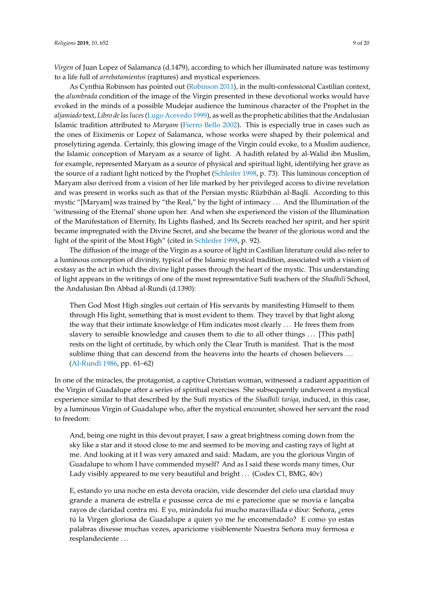*Virgen* of Juan Lopez of Salamanca (d.1479), according to which her illuminated nature was testimony to a life full of *arrebatamientos* (raptures) and mystical experiences.

As Cynthia Robinson has pointed out [\(Robinson](#page-18-17) [2011\)](#page-18-17), in the multi-confessional Castilian context, the *alumbrada* condition of the image of the Virgin presented in these devotional works would have evoked in the minds of a possible Mudejar audience the luminous character of the Prophet in the *aljamiado* text, *Libro de las luces*[\(Lugo Acevedo](#page-18-18) [1999\)](#page-18-18), as well as the prophetic abilities that the Andalusian Islamic tradition attributed to *Maryam* [\(Fierro Bello](#page-17-16) [2002\)](#page-17-16). This is especially true in cases such as the ones of Eiximenis or Lopez of Salamanca, whose works were shaped by their polemical and proselytizing agenda. Certainly, this glowing image of the Virgin could evoke, to a Muslim audience, the Islamic conception of Maryam as a source of light. A hadith related by al-Walid ibn Muslim, for example, represented Maryam as a source of physical and spiritual light, identifying her grave as the source of a radiant light noticed by the Prophet [\(Schleifer](#page-19-11) [1998,](#page-19-11) p. 73). This luminous conception of Maryam also derived from a vision of her life marked by her privileged access to divine revelation and was present in works such as that of the Persian mystic Rūzbihān al-Baqlī. According to this mystic "[Maryam] was trained by "the Real," by the light of intimacy . . . And the Illumination of the 'witnessing of the Eternal' shone upon her. And when she experienced the vision of the Illumination of the Manifestation of Eternity, Its Lights flashed, and Its Secrets reached her spirit, and her spirit became impregnated with the Divine Secret, and she became the bearer of the glorious word and the light of the spirit of the Most High" (cited in [Schleifer](#page-19-11) [1998,](#page-19-11) p. 92).

The diffusion of the image of the Virgin as a source of light in Castilian literature could also refer to a luminous conception of divinity, typical of the Islamic mystical tradition, associated with a vision of ecstasy as the act in which the divine light passes through the heart of the mystic. This understanding of light appears in the writings of one of the most representative Sufi teachers of the *Shadhili* School, the Andalusian Ibn Abbad al-Rundi (d.1390):

Then God Most High singles out certain of His servants by manifesting Himself to them through His light, something that is most evident to them. They travel by that light along the way that their intimate knowledge of Him indicates most clearly . . . He frees them from slavery to sensible knowledge and causes them to die to all other things . . . [This path] rests on the light of certitude, by which only the Clear Truth is manifest. That is the most sublime thing that can descend from the heavens into the hearts of chosen believers ... [\(Al-Rund¯ı](#page-15-3) [1986,](#page-15-3) pp. 61–62)

In one of the miracles, the protagonist, a captive Christian woman, witnessed a radiant apparition of the Virgin of Guadalupe after a series of spiritual exercises. She subsequently underwent a mystical experience similar to that described by the Sufi mystics of the *Shadhili tariqa*, induced, in this case, by a luminous Virgin of Guadalupe who, after the mystical encounter, showed her servant the road to freedom:

And, being one night in this devout prayer, I saw a great brightness coming down from the sky like a star and it stood close to me and seemed to be moving and casting rays of light at me. And looking at it I was very amazed and said: Madam, are you the glorious Virgin of Guadalupe to whom I have commended myself? And as I said these words many times, Our Lady visibly appeared to me very beautiful and bright . . . (Codex C1, BMG, 40v)

E, estando yo una noche en esta devota oración, vide descender del cielo una claridad muy grande a manera de estrella e pusosse cerca de mí e pareciome que se movía e lançaba rayos de claridad contra mí. E yo, mirándola fui mucho maravillada e dixe: Señora, ¿eres tú la Virgen gloriosa de Guadalupe a quien yo me he encomendado? E como yo estas palabras dixesse muchas vezes, apariciome visiblemente Nuestra Señora muy fermosa e resplandeciente . . .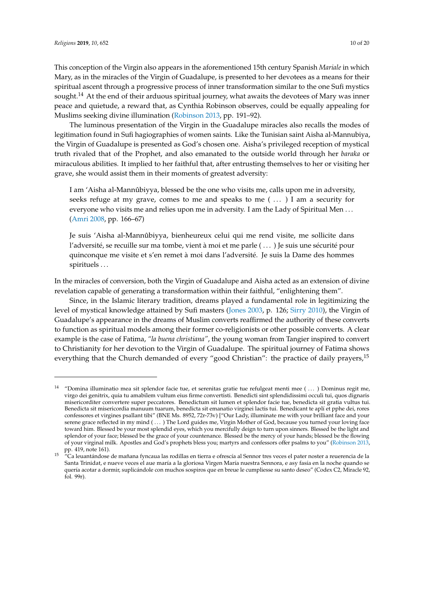This conception of the Virgin also appears in the aforementioned 15th century Spanish *Mariale* in which Mary, as in the miracles of the Virgin of Guadalupe, is presented to her devotees as a means for their spiritual ascent through a progressive process of inner transformation similar to the one Sufi mystics sought.<sup>14</sup> At the end of their arduous spiritual journey, what awaits the devotees of Mary was inner peace and quietude, a reward that, as Cynthia Robinson observes, could be equally appealing for Muslims seeking divine illumination [\(Robinson](#page-18-7) [2013,](#page-18-7) pp. 191–92).

The luminous presentation of the Virgin in the Guadalupe miracles also recalls the modes of legitimation found in Sufi hagiographies of women saints. Like the Tunisian saint Aisha al-Mannubiya, the Virgin of Guadalupe is presented as God's chosen one. Aisha's privileged reception of mystical truth rivaled that of the Prophet, and also emanated to the outside world through her *baraka* or miraculous abilities. It implied to her faithful that, after entrusting themselves to her or visiting her grave, she would assist them in their moments of greatest adversity:

I am 'Aisha al-Mannûbiyya, blessed be the one who visits me, calls upon me in adversity, seeks refuge at my grave, comes to me and speaks to me  $(\ldots)$  I am a security for everyone who visits me and relies upon me in adversity. I am the Lady of Spiritual Men . . . [\(Amri](#page-15-1) [2008,](#page-15-1) pp. 166–67)

Je suis 'Aisha al-Mannûbiyya, bienheureux celui qui me rend visite, me sollicite dans l'adversité, se recuille sur ma tombe, vient à moi et me parle ( . . . ) Je suis une sécurité pour quinconque me visite et s'en remet à moi dans l'adversité. Je suis la Dame des hommes spirituels . . .

In the miracles of conversion, both the Virgin of Guadalupe and Aisha acted as an extension of divine revelation capable of generating a transformation within their faithful, "enlightening them".

Since, in the Islamic literary tradition, dreams played a fundamental role in legitimizing the level of mystical knowledge attained by Sufi masters [\(Jones](#page-17-17) [2003,](#page-17-17) p. 126; [Sirry](#page-19-12) [2010\)](#page-19-12), the Virgin of Guadalupe's appearance in the dreams of Muslim converts reaffirmed the authority of these converts to function as spiritual models among their former co-religionists or other possible converts. A clear example is the case of Fatima, *"la buena christiana"*, the young woman from Tangier inspired to convert to Christianity for her devotion to the Virgin of Guadalupe. The spiritual journey of Fatima shows everything that the Church demanded of every "good Christian": the practice of daily prayers,<sup>15</sup>

<sup>&</sup>lt;sup>14</sup> "Domina illuminatio mea sit splendor facie tue, et serenitas gratie tue refulgeat menti mee  $( \dots )$  Dominus regit me, virgo dei genitrix, quia tu amabilem vultum eius firme convertisti. Benedicti sint splendidissimi occuli tui, quos dignaris misericorditer convertere super peccatores. Benedictum sit lumen et splendor facie tue, benedicta sit gratia vultus tui. Benedicta sit misericordia manuum tuarum, benedicta sit emanatio virginei lactis tui. Benedicant te aplí et pphe dei, rores confessores et virgines psallant tibi" (BNE Ms. 8952, 72r-73v) ["Our Lady, illuminate me with your brilliant face and your serene grace reflected in my mind ( . . . ) The Lord guides me, Virgin Mother of God, because you turned your loving face toward him. Blessed be your most splendid eyes, which you mercifully deign to turn upon sinners. Blessed be the light and splendor of your face; blessed be the grace of your countenance. Blessed be the mercy of your hands; blessed be the flowing of your virginal milk. Apostles and God's prophets bless you; martyrs and confessors offer psalms to you" [\(Robinson](#page-18-7) [2013,](#page-18-7) pp. 419, note 161).

<sup>&</sup>lt;sup>15</sup> "Ca leuantándose de mañana fyncaua las rodillas en tierra e ofrescía al Sennor tres veces el pater noster a reuerencia de la Santa Trinidat, e nueve veces el aue maría a la gloriosa Virgen María nuestra Sennora, e asy fasía en la noche quando se quería acotar a dormir, suplicándole con muchos sospiros que en breue le cumpliesse su santo deseo" (Codex C2, Miracle 92, fol. 99r).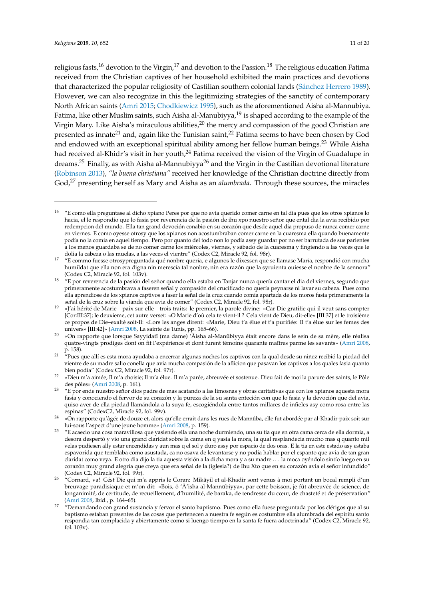religious fasts,<sup>16</sup> devotion to the Virgin,<sup>17</sup> and devotion to the Passion.<sup>18</sup> The religious education Fatima received from the Christian captives of her household exhibited the main practices and devotions that characterized the popular religiosity of Castilian southern colonial lands (Sá[nchez Herrero](#page-19-13) [1989\)](#page-19-13). However, we can also recognize in this the legitimizing strategies of the sanctity of contemporary North African saints [\(Amri](#page-16-17) [2015;](#page-16-17) [Chodkiewicz](#page-16-18) [1995\)](#page-16-18), such as the aforementioned Aisha al-Mannubiya. Fatima, like other Muslim saints, such Aisha al-Manubiyya,<sup>19</sup> is shaped according to the example of the Virgin Mary. Like Aisha's miraculous abilities,<sup>20</sup> the mercy and compassion of the good Christian are presented as innate<sup>21</sup> and, again like the Tunisian saint,<sup>22</sup> Fatima seems to have been chosen by God and endowed with an exceptional spiritual ability among her fellow human beings.<sup>23</sup> While Aisha had received al-Khidr's visit in her youth,<sup>24</sup> Fatima received the vision of the Virgin of Guadalupe in dreams.<sup>25</sup> Finally, as with Aisha al-Mannubiyya<sup>26</sup> and the Virgin in the Castilian devotional literature [\(Robinson](#page-18-7) [2013\)](#page-18-7), *"la buena christiana"* received her knowledge of the Christian doctrine directly from God,<sup>27</sup> presenting herself as Mary and Aisha as an *alumbrada*. Through these sources, the miracles

<sup>16</sup> "E como ella preguntase al dicho xpiano Peres por que no avia querido comer carne en tal dia pues que los otros xpianos lo hacia, el le respondio que lo fasia por reverencia de la pasión de ihu xpo nuestro señor que ental dia la avia recibido por redempcion del mundo. Ella tan grand devoción conabio en su corazón que desde aquel dia propuso de nunca comer carne en viernes. E como oyesse otrosy que los xpianos non acostumbraban comer carne en la cuaresma ella quando buenamente podía no la comia en aquel tiempo. Pero por quanto del todo non lo podía assy guardar por no ser barrutada de sus parientes a los menos guardaba se de no comer carne los miércoles, viernes, y sábado de la cuaresma y fingiendo a las veces que le dolia la cabeza o las muelas, a las veces el vientre" (Codex C2, Miracle 92, fol. 98r).

<sup>&</sup>lt;sup>17</sup> "E commo fuesse otrosypreguntada qué nonbre quería, e algunos le dixessen que se llamase María, respondió con mucha humildat que ella non era digna nin merescía tal nonbre, nin era razón que la syruienta ouiesse el nonbre de la sennora" (Codex C2, Miracle 92, fol. 103v).

<sup>18</sup> "E por reverencia de la pasión del señor quando ella estaba en Tanjar nunca quería cantar el dia del viernes, segundo que primeramente acostumbrava a faseren señal y compasión del crucificado no quería peynarse ni lavar su cabeza. Pues como ella aprendiose de los xpianos captivos a faser la señal de la cruz cuando comía apartada de los moros fasia primeramente la señal de la cruz sobre la vianda que avia de comer" (Codex C2, Miracle 92, fol. 98r).

<sup>19</sup> «J'ai hérité de Marie—paix sur elle—trois traits: le premier, la parole divine: «Car Die gratifie qui il veut sans compter [Cor:III:37]; le deuxieme, cet autre verset: «O Marie d'où cela te vient-il ? Cela vient de Dieu, dit-elle» [III:37] et le troisième ce propos de Die–exaltè soit-Il: «Lors les anges dirent: «Marie, Dieu t'a élue et t'a purifiée: Il t'a élue sur les femes des univers» [III:42]» [\(Amri](#page-15-1) [2008,](#page-15-1) La sainte de Tunis, pp. 165–66).

<sup>&</sup>lt;sup>20</sup> «On rapporte que lorsque Sayyidatî (ma dame) 'Âisha al-Manûbiyya était encore dans le sein de sa mère, elle réalisa quatre-vingts prodiges dont on fit l'expérience et dont furent témoins quarante maîtres parme les savants» [\(Amri](#page-15-1) [2008,](#page-15-1) p. 158).

 $^{21}$  "Pues que allí es esta mora ayudaba a encerrar algunas noches los captivos con la qual desde su niñez recibió la piedad del vientre de su madre salio conella que avia mucha compasión de la aflicion que pasavan los captivos a los quales fasia quanto bien podía" (Codex C2, Miracle 92, fol. 97r).

<sup>&</sup>lt;sup>22</sup> «Dieu m'a aimée; Il m'a choisie; Il m'a élue. Il m'a parée, abreuvée et sostenue. Dieu fait de moi la parure des saints, le Pôle des pôles» [\(Amri](#page-15-1) [2008,](#page-15-1) p. 161).

<sup>&</sup>lt;sup>23</sup> "E por ende nuestro señor dios padre de mas acatando a las limosnas y obras caritativas que con los xpianos aquesta mora fasia y conociendo el fervor de su corazón y la pureza de la su santa enteción con que lo fasia y la devoción que del avia, quiso aver de ella piedad llamándola a la suya fe, escogiéndola entre tantos millares de infieles asy como rosa entre las espinas" (CodexC2, Miracle 92, fol. 99v).

<sup>24</sup> «On rapporte qu'âgée de douze et, alors qu'elle errait dans les rues de Mannûba, elle fut abordée par al-Khadir-paix soit sur lui-sous l'aspect d'une jeune homme» [\(Amri](#page-15-1) [2008,](#page-15-1) p. 159).

<sup>25</sup> "E acaecio una cosa maravillosa que yasiendo ella una noche durmiendo, una su tia que en otra cama cerca de ella dormia, a desora despertó y vio una grand claridat sobre la cama en q yasia la mora, la qual resplandecia mucho mas q quanto mil velas pudiesen ally estar encendidas y aun mas q el sol y duro assy por espacio de dos oras. E la tia en este estado asy estaba espavorida que temblaba como asustada, ca no osava de levantarse y no podía hablar por el espanto que avia de tan gran claridat como veya. E otro dia dijo la tia aquesta visión a la dicha mora y a su madre . . . la moca oyéndolo sintío luego en su corazón muy grand alegría que creya que era señal de la (iglesia?) de Ihu Xto que en su corazón avia el señor infundido" (Codex C2, Miracle 92, fol. 99r).

<sup>&</sup>lt;sup>26</sup> "Cornard, va! Cést Die qui m'a appris le Coran: Mikâyil et al-Khadir sont venus à moi portant un bocal rempli d'un breuvage paradisiaque et m'on dit: «Bois, ô 'Ā'isha al-Mannūbiyya», par cette boisson, je fût abreuvée de science, de longanimité, de certitude, de recueillement, d'humilité, de baraka, de tendresse du cœur, de chasteté et de préservation" [\(Amri](#page-15-1) [2008,](#page-15-1) Ibíd., p. 164–65).

 $27$  "Demandando con grand sustancia y fervor el santo baptismo. Pues como ella fuese preguntada por los clérigos que al su baptismo estaban presentes de las cosas que pertenecen a nuestra fe según es costumbre ella alumbrada del espíritu santo respondia tan complacida y abiertamente como si luengo tiempo en la santa fe fuera adoctrinada" (Codex C2, Miracle 92, fol. 103v).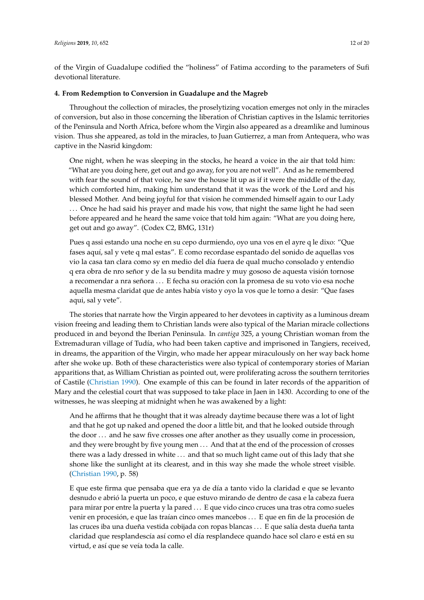of the Virgin of Guadalupe codified the "holiness" of Fatima according to the parameters of Sufi devotional literature.

## **4. From Redemption to Conversion in Guadalupe and the Magreb**

Throughout the collection of miracles, the proselytizing vocation emerges not only in the miracles of conversion, but also in those concerning the liberation of Christian captives in the Islamic territories of the Peninsula and North Africa, before whom the Virgin also appeared as a dreamlike and luminous vision. Thus she appeared, as told in the miracles, to Juan Gutierrez, a man from Antequera, who was captive in the Nasrid kingdom:

One night, when he was sleeping in the stocks, he heard a voice in the air that told him: "What are you doing here, get out and go away, for you are not well". And as he remembered with fear the sound of that voice, he saw the house lit up as if it were the middle of the day, which comforted him, making him understand that it was the work of the Lord and his blessed Mother. And being joyful for that vision he commended himself again to our Lady . . . Once he had said his prayer and made his vow, that night the same light he had seen before appeared and he heard the same voice that told him again: "What are you doing here, get out and go away". (Codex C2, BMG, 131r)

Pues q assi estando una noche en su cepo durmiendo, oyo una vos en el ayre q le dixo: "Que fases aquí, sal y vete q mal estas". E como recordase espantado del sonido de aquellas vos vio la casa tan clara como sy en medio del día fuera de qual mucho consolado y entendio q era obra de nro señor y de la su bendita madre y muy gososo de aquesta visión tornose a recomendar a nra señora . . . E fecha su oración con la promesa de su voto vio esa noche aquella mesma claridat que de antes había visto y oyo la vos que le torno a desir: "Que fases aqui, sal y vete".

The stories that narrate how the Virgin appeared to her devotees in captivity as a luminous dream vision freeing and leading them to Christian lands were also typical of the Marian miracle collections produced in and beyond the Iberian Peninsula. In *cantiga* 325, a young Christian woman from the Extremaduran village of Tudía, who had been taken captive and imprisoned in Tangiers, received, in dreams, the apparition of the Virgin, who made her appear miraculously on her way back home after she woke up. Both of these characteristics were also typical of contemporary stories of Marian apparitions that, as William Christian as pointed out, were proliferating across the southern territories of Castile [\(Christian](#page-16-19) [1990\)](#page-16-19). One example of this can be found in later records of the apparition of Mary and the celestial court that was supposed to take place in Jaen in 1430. According to one of the witnesses, he was sleeping at midnight when he was awakened by a light:

And he affirms that he thought that it was already daytime because there was a lot of light and that he got up naked and opened the door a little bit, and that he looked outside through the door . . . and he saw five crosses one after another as they usually come in procession, and they were brought by five young men . . . And that at the end of the procession of crosses there was a lady dressed in white . . . and that so much light came out of this lady that she shone like the sunlight at its clearest, and in this way she made the whole street visible. [\(Christian](#page-16-19) [1990,](#page-16-19) p. 58)

E que este firma que pensaba que era ya de día a tanto vido la claridad e que se levanto desnudo e abrió la puerta un poco, e que estuvo mirando de dentro de casa e la cabeza fuera para mirar por entre la puerta y la pared . . . E que vido cinco cruces una tras otra como sueles venir en procesión, e que las traían cinco omes mancebos . . . E que en fin de la procesión de las cruces iba una dueña vestida cobijada con ropas blancas . . . E que salía desta dueña tanta claridad que resplandescía así como el día resplandece quando hace sol claro e está en su virtud, e así que se veía toda la calle.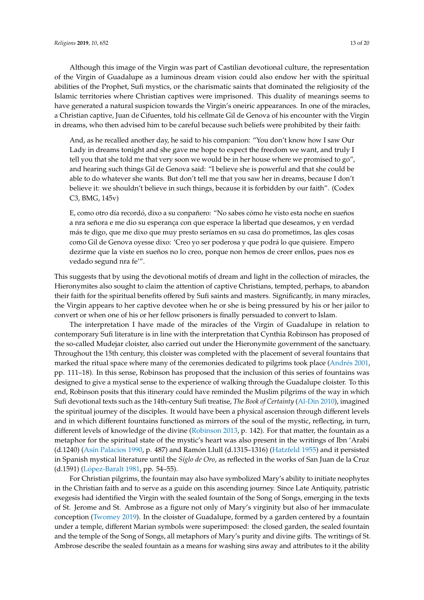Although this image of the Virgin was part of Castilian devotional culture, the representation of the Virgin of Guadalupe as a luminous dream vision could also endow her with the spiritual abilities of the Prophet, Sufi mystics, or the charismatic saints that dominated the religiosity of the Islamic territories where Christian captives were imprisoned. This duality of meanings seems to have generated a natural suspicion towards the Virgin's oneiric appearances. In one of the miracles, a Christian captive, Juan de Cifuentes, told his cellmate Gil de Genova of his encounter with the Virgin in dreams, who then advised him to be careful because such beliefs were prohibited by their faith:

And, as he recalled another day, he said to his companion: "You don't know how I saw Our Lady in dreams tonight and she gave me hope to expect the freedom we want, and truly I tell you that she told me that very soon we would be in her house where we promised to go", and hearing such things Gil de Genova said: "I believe she is powerful and that she could be able to do whatever she wants. But don't tell me that you saw her in dreams, because I don't believe it: we shouldn't believe in such things, because it is forbidden by our faith". (Codex C3, BMG, 145v)

E, como otro día recordó, dixo a su conpañero: "No sabes cómo he visto esta noche en sueños a nra señora e me dio su esperança con que esperace la libertad que deseamos, y en verdad más te digo, que me dixo que muy presto seríamos en su casa do prometimos, las qles cosas como Gil de Genova oyesse dixo: 'Creo yo ser poderosa y que podrá lo que quisiere. Empero dezirme que la viste en sueños no lo creo, porque non hemos de creer enllos, pues nos es vedado segund nra fe'".

This suggests that by using the devotional motifs of dream and light in the collection of miracles, the Hieronymites also sought to claim the attention of captive Christians, tempted, perhaps, to abandon their faith for the spiritual benefits offered by Sufi saints and masters. Significantly, in many miracles, the Virgin appears to her captive devotee when he or she is being pressured by his or her jailor to convert or when one of his or her fellow prisoners is finally persuaded to convert to Islam.

The interpretation I have made of the miracles of the Virgin of Guadalupe in relation to contemporary Sufi literature is in line with the interpretation that Cynthia Robinson has proposed of the so-called Mudejar cloister, also carried out under the Hieronymite government of the sanctuary. Throughout the 15th century, this cloister was completed with the placement of several fountains that marked the ritual space where many of the ceremonies dedicated to pilgrims took place [\(Andr](#page-16-20)és [2001,](#page-16-20) pp. 111–18). In this sense, Robinson has proposed that the inclusion of this series of fountains was designed to give a mystical sense to the experience of walking through the Guadalupe cloister. To this end, Robinson posits that this itinerary could have reminded the Muslim pilgrims of the way in which Sufi devotional texts such as the 14th-century Sufi treatise, *The Book of Certainty* [\(Al-Din](#page-15-4) [2010\)](#page-15-4), imagined the spiritual journey of the disciples. It would have been a physical ascension through different levels and in which different fountains functioned as mirrors of the soul of the mystic, reflecting, in turn, different levels of knowledge of the divine [\(Robinson](#page-18-7) [2013,](#page-18-7) p. 142). For that matter, the fountain as a metaphor for the spiritual state of the mystic's heart was also present in the writings of Ibn 'Arabi (d.1240) (Así[n Palacios](#page-16-21) [1990,](#page-16-21) p. 487) and Ramón Llull (d.1315–1316) [\(Hatzfeld](#page-17-18) [1955\)](#page-17-18) and it persisted in Spanish mystical literature until the *Siglo de Oro*, as reflected in the works of San Juan de la Cruz (d.1591) (Ló[pez-Baralt](#page-18-19) [1981,](#page-18-19) pp. 54–55).

For Christian pilgrims, the fountain may also have symbolized Mary's ability to initiate neophytes in the Christian faith and to serve as a guide on this ascending journey. Since Late Antiquity, patristic exegesis had identified the Virgin with the sealed fountain of the Song of Songs, emerging in the texts of St. Jerome and St. Ambrose as a figure not only of Mary's virginity but also of her immaculate conception [\(Twomey](#page-19-14) [2019\)](#page-19-14). In the cloister of Guadalupe, formed by a garden centered by a fountain under a temple, different Marian symbols were superimposed: the closed garden, the sealed fountain and the temple of the Song of Songs, all metaphors of Mary's purity and divine gifts. The writings of St. Ambrose describe the sealed fountain as a means for washing sins away and attributes to it the ability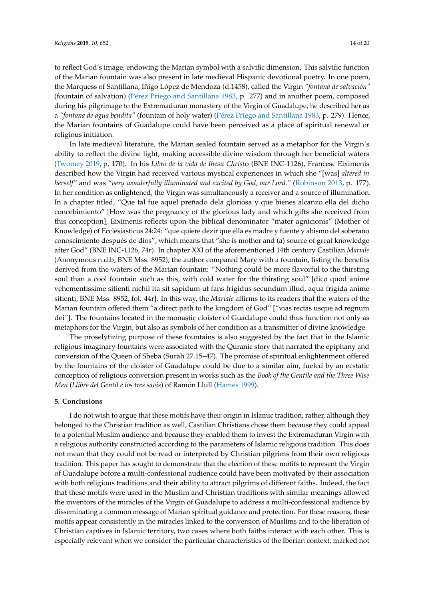to reflect God's image, endowing the Marian symbol with a salvific dimension. This salvific function of the Marian fountain was also present in late medieval Hispanic devotional poetry. In one poem, the Marquess of Santillana, Iñigo López de Mendoza (d.1458), called the Virgin *"fontana de salvación"* (fountain of salvation) (Pé[rez Priego and Santillana](#page-18-20) [1983,](#page-18-20) p. 277) and in another poem, composed during his pilgrimage to the Extremaduran monastery of the Virgin of Guadalupe, he described her as a *"fontana de agua bendita"* (fountain of holy water) (Pé[rez Priego and Santillana](#page-18-20) [1983,](#page-18-20) p. 279). Hence, the Marian fountains of Guadalupe could have been perceived as a place of spiritual renewal or religious initiation.

In late medieval literature, the Marian sealed fountain served as a metaphor for the Virgin's ability to reflect the divine light, making accessible divine wisdom through her beneficial waters [\(Twomey](#page-19-14) [2019,](#page-19-14) p. 170). In his *Libro de la vida de Ihesu Christ*o (BNE INC-1126), Francesc Eiximenis described how the Virgin had received various mystical experiences in which she "[was] *altered in herself"* and was *"very wonderfully illuminated and excited by God, our Lord."* [\(Robinson](#page-18-7) [2013,](#page-18-7) p. 177). In her condition as enlightened, the Virgin was simultaneously a receiver and a source of illumination. In a chapter titled, "Que tal fue aquel preñado dela gloriosa y que bienes alcanzo ella del dicho concebimiento" [How was the pregnancy of the glorious lady and which gifts she received from this conception], Eiximenis reflects upon the biblical denominator "mater agnicionis" (Mother of Knowledge) of Ecclesiasticus 24:24: "que quiere dezir que ella es madre y fuente y abismo del soberano conoscimiento después de dios", which means that "she is mother and (a) source of great knowledge after God" (BNE INC-1126, 74r). In chapter XXI of the aforementioned 14th century Castilian *Mariale* (Anonymous n.d.b, BNE Mss. 8952), the author compared Mary with a fountain, listing the benefits derived from the waters of the Marian fountain: "Nothing could be more flavorful to the thirsting soul than a cool fountain such as this, with cold water for the thirsting soul" [dico quod anime vehementissime sitienti nichil ita sit sapidum ut fans frigidus secundum illud, aqua frigida anime sitienti, BNE Mss. 8952, fol. 44r]. In this way, the *Mariale* affirms to its readers that the waters of the Marian fountain offered them "a direct path to the kingdom of God" ["vias rectas usque ad regnum dei*"*]. The fountains located in the monastic cloister of Guadalupe could thus function not only as metaphors for the Virgin, but also as symbols of her condition as a transmitter of divine knowledge.

The proselytizing purpose of these fountains is also suggested by the fact that in the Islamic religious imaginary fountains were associated with the Quranic story that narrated the epiphany and conversion of the Queen of Sheba (Surah 27.15–47). The promise of spiritual enlightenment offered by the fountains of the cloister of Guadalupe could be due to a similar aim, fueled by an ecstatic conception of religious conversion present in works such as the *Book of the Gentile and the Three Wise Men* (*Llibre del Gentil e los tres savis*) of Ramón Llull [\(Hames](#page-17-19) [1999\)](#page-17-19).

### **5. Conclusions**

I do not wish to argue that these motifs have their origin in Islamic tradition; rather, although they belonged to the Christian tradition as well, Castilian Christians chose them because they could appeal to a potential Muslim audience and because they enabled them to invest the Extremaduran Virgin with a religious authority constructed according to the parameters of Islamic religious tradition. This does not mean that they could not be read or interpreted by Christian pilgrims from their own religious tradition. This paper has sought to demonstrate that the election of these motifs to represent the Virgin of Guadalupe before a multi-confessional audience could have been motivated by their association with both religious traditions and their ability to attract pilgrims of different faiths. Indeed, the fact that these motifs were used in the Muslim and Christian traditions with similar meanings allowed the inventors of the miracles of the Virgin of Guadalupe to address a multi-confessional audience by disseminating a common message of Marian spiritual guidance and protection. For these reasons, these motifs appear consistently in the miracles linked to the conversion of Muslims and to the liberation of Christian captives in Islamic territory, two cases where both faiths interact with each other. This is especially relevant when we consider the particular characteristics of the Iberian context, marked not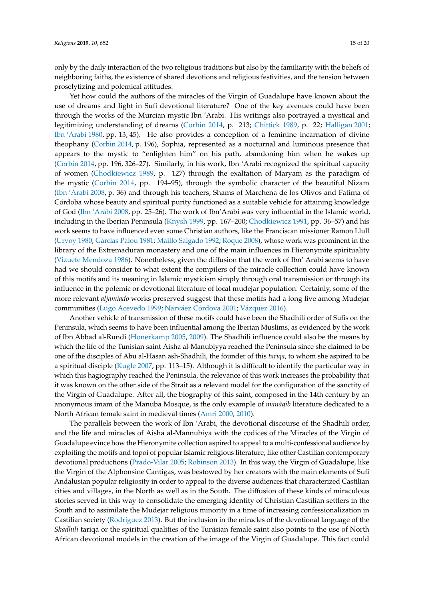only by the daily interaction of the two religious traditions but also by the familiarity with the beliefs of neighboring faiths, the existence of shared devotions and religious festivities, and the tension between proselytizing and polemical attitudes.

Yet how could the authors of the miracles of the Virgin of Guadalupe have known about the use of dreams and light in Sufi devotional literature? One of the key avenues could have been through the works of the Murcian mystic Ibn 'Arabi. His writings also portrayed a mystical and legitimizing understanding of dreams [\(Corbin](#page-16-13) [2014,](#page-16-13) p. 213; [Chittick](#page-16-22) [1989,](#page-16-22) p. 22; [Halligan](#page-17-12) [2001;](#page-17-12) [Ibn 'Arabi](#page-17-20) [1980,](#page-17-20) pp. 13, 45). He also provides a conception of a feminine incarnation of divine theophany [\(Corbin](#page-16-13) [2014,](#page-16-13) p. 196), Sophia, represented as a nocturnal and luminous presence that appears to the mystic to "enlighten him" on his path, abandoning him when he wakes up [\(Corbin](#page-16-13) [2014,](#page-16-13) pp. 196, 326–27). Similarly, in his work, Ibn 'Arabi recognized the spiritual capacity of women [\(Chodkiewicz](#page-16-23) [1989,](#page-16-23) p. 127) through the exaltation of Maryam as the paradigm of the mystic [\(Corbin](#page-16-13) [2014,](#page-16-13) pp. 194–95), through the symbolic character of the beautiful Nizam [\(Ibn 'Arabi](#page-17-21) [2008,](#page-17-21) p. 36) and through his teachers, Shams of Marchena de los Olivos and Fatima of Córdoba whose beauty and spiritual purity functioned as a suitable vehicle for attaining knowledge of God [\(Ibn 'Arabi](#page-17-21) [2008,](#page-17-21) pp. 25–26). The work of Ibn'Arabi was very influential in the Islamic world, including in the Iberian Peninsula [\(Knysh](#page-17-22) [1999,](#page-17-22) pp. 167–200; [Chodkiewicz](#page-16-24) [1991,](#page-16-24) pp. 36–57) and his work seems to have influenced even some Christian authors, like the Franciscan missioner Ramon Llull [\(Urvoy](#page-19-15) [1980;](#page-19-15) Garcí[as Palou](#page-17-23) [1981;](#page-17-23) Maí[llo Salgado](#page-18-21) [1992;](#page-18-21) [Roque](#page-19-16) [2008\)](#page-19-16), whose work was prominent in the library of the Extremaduran monastery and one of the main influences in Hieronymite spirituality [\(Vizuete Mendoza](#page-19-17) [1986\)](#page-19-17). Nonetheless, given the diffusion that the work of Ibn' Arabi seems to have had we should consider to what extent the compilers of the miracle collection could have known of this motifs and its meaning in Islamic mysticism simply through oral transmission or through its influence in the polemic or devotional literature of local mudejar population. Certainly, some of the more relevant *aljamiado* works preserved suggest that these motifs had a long live among Mudejar communities [\(Lugo Acevedo](#page-18-18) [1999;](#page-18-18) Narváez Có[rdova](#page-18-22) [2001;](#page-18-22) Vá[zquez](#page-19-18) [2016\)](#page-19-18).

Another vehicle of transmission of these motifs could have been the Shadhili order of Sufis on the Peninsula, which seems to have been influential among the Iberian Muslims, as evidenced by the work of Ibn Abbad al-Rundi [\(Honerkamp](#page-17-24) [2005,](#page-17-24) [2009\)](#page-17-25). The Shadhili influence could also be the means by which the life of the Tunisian saint Aisha al-Manubiyya reached the Peninsula since she claimed to be one of the disciples of Abu al-Hasan ash-Shadhili, the founder of this *tariqa*, to whom she aspired to be a spiritual disciple [\(Kugle](#page-18-23) [2007,](#page-18-23) pp. 113–15). Although it is difficult to identify the particular way in which this hagiography reached the Peninsula, the relevance of this work increases the probability that it was known on the other side of the Strait as a relevant model for the configuration of the sanctity of the Virgin of Guadalupe. After all, the biography of this saint, composed in the 14th century by an anonymous imam of the Manuba Mosque, is the only example of *manâqib* literature dedicated to a North African female saint in medieval times [\(Amri](#page-15-5) [2000,](#page-15-5) [2010\)](#page-16-25).

The parallels between the work of Ibn 'Arabi, the devotional discourse of the Shadhili order, and the life and miracles of Aisha al-Mannubiya with the codices of the Miracles of the Virgin of Guadalupe evince how the Hieronymite collection aspired to appeal to a multi-confessional audience by exploiting the motifs and topoi of popular Islamic religious literature, like other Castilian contemporary devotional productions [\(Prado-Vilar](#page-18-6) [2005;](#page-18-6) [Robinson](#page-18-7) [2013\)](#page-18-7). In this way, the Virgin of Guadalupe, like the Virgin of the Alphonsine Cantigas, was bestowed by her creators with the main elements of Sufi Andalusian popular religiosity in order to appeal to the diverse audiences that characterized Castilian cities and villages, in the North as well as in the South. The diffusion of these kinds of miraculous stories served in this way to consolidate the emerging identity of Christian Castilian settlers in the South and to assimilate the Mudejar religious minority in a time of increasing confessionalization in Castilian society [\(Rodr](#page-18-24)íguez [2013\)](#page-18-24). But the inclusion in the miracles of the devotional language of the *Shadhili* tariqa or the spiritual qualities of the Tunisian female saint also points to the use of North African devotional models in the creation of the image of the Virgin of Guadalupe. This fact could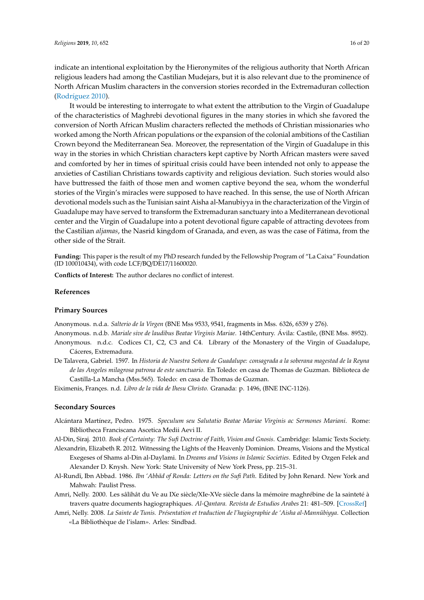indicate an intentional exploitation by the Hieronymites of the religious authority that North African religious leaders had among the Castilian Mudejars, but it is also relevant due to the prominence of North African Muslim characters in the conversion stories recorded in the Extremaduran collection [\(Rodr](#page-18-9)íguez [2010\)](#page-18-9).

It would be interesting to interrogate to what extent the attribution to the Virgin of Guadalupe of the characteristics of Maghrebi devotional figures in the many stories in which she favored the conversion of North African Muslim characters reflected the methods of Christian missionaries who worked among the North African populations or the expansion of the colonial ambitions of the Castilian Crown beyond the Mediterranean Sea. Moreover, the representation of the Virgin of Guadalupe in this way in the stories in which Christian characters kept captive by North African masters were saved and comforted by her in times of spiritual crisis could have been intended not only to appease the anxieties of Castilian Christians towards captivity and religious deviation. Such stories would also have buttressed the faith of those men and women captive beyond the sea, whom the wonderful stories of the Virgin's miracles were supposed to have reached. In this sense, the use of North African devotional models such as the Tunisian saint Aisha al-Manubiyya in the characterization of the Virgin of Guadalupe may have served to transform the Extremaduran sanctuary into a Mediterranean devotional center and the Virgin of Guadalupe into a potent devotional figure capable of attracting devotees from the Castilian *aljamas*, the Nasrid kingdom of Granada, and even, as was the case of Fátima, from the other side of the Strait.

**Funding:** This paper is the result of my PhD research funded by the Fellowship Program of "La Caixa" Foundation (ID 100010434), with code LCF/BQ/DE17/11600020.

**Conflicts of Interest:** The author declares no conflict of interest.

#### **References**

#### **Primary Sources**

Anonymous. n.d.a. *Salterio de la Virgen* (BNE Mss 9533, 9541, fragments in Mss. 6326, 6539 y 276).

- Anonymous. n.d.b. *Mariale sive de laudibus Beatae Virginis Mariae*. 14thCentury. Ávila: Castile, (BNE Mss. 8952). Anonymous. n.d.c. Codices C1, C2, C3 and C4. Library of the Monastery of the Virgin of Guadalupe, Cáceres, Extremadura.
- De Talavera, Gabriel. 1597. In *Historia de Nuestra Señora de Guadalupe: consagrada a la soberana magestad de la Reyna de las Angeles milagrosa patrona de este sanctuario.* En Toledo: en casa de Thomas de Guzman. Biblioteca de Castilla-La Mancha (Mss.565). Toledo: en casa de Thomas de Guzman.

Eiximenis, Françes. n.d. *Libro de la vida de Ihesu Christo.* Granada: p. 1496, (BNE INC-1126).

#### **Secondary Sources**

<span id="page-15-2"></span>Alcántara Martínez, Pedro. 1975. *Speculum seu Salutatio Beatae Mariae Virginis ac Sermones Mariani*. Rome: Bibliotheca Franciscana Ascetica Medii Aevi II.

<span id="page-15-4"></span>Al-Din, Siraj. 2010. *Book of Certainty: The Sufi Doctrine of Faith, Vision and Gnosis*. Cambridge: Islamic Texts Society.

- <span id="page-15-0"></span>Alexandrin, Elizabeth R. 2012. Witnessing the Lights of the Heavenly Dominion. Dreams, Visions and the Mystical Exegeses of Shams al-Din al-Daylami. In *Dreams and Visions in Islamic Societies*. Edited by Ozgen Felek and Alexander D. Knysh. New York: State University of New York Press, pp. 215–31.
- <span id="page-15-3"></span>Al-Rundī, Ibn Abbad. 1986. *Ibn 'Abbād of Ronda: Letters on the Sufi Path*. Edited by John Renard. New York and Mahwah: Paulist Press.

<span id="page-15-5"></span>Amri, Nelly. 2000. Les sâlihât du Ve au IXe siècle/XIe-XVe siècle dans la mémoire maghrébine de la sainteté à travers quatre documents hagiographiques. *Al-Qantara. Revista de Estudios Arabes* 21: 481–509. [\[CrossRef\]](http://dx.doi.org/10.3989/alqantara.2000.v21.i2.441)

<span id="page-15-1"></span>Amri, Nelly. 2008. *La Sainte de Tunis. Présentation et traduction de l'hagiographie de 'Aisha al-Mannubiyya ¯* . Collection «La Bibliothèque de l'islam». Arles: Sindbad.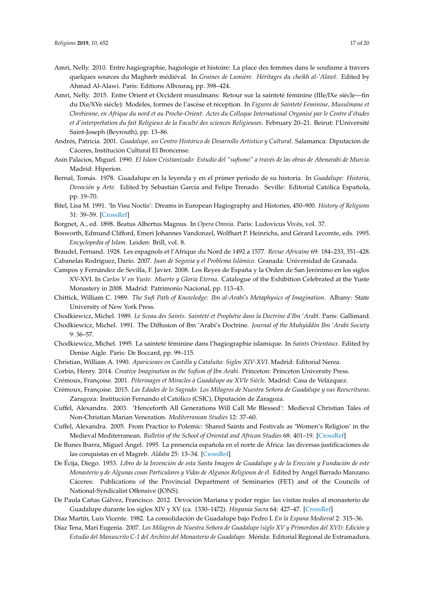- <span id="page-16-25"></span>Amri, Nelly. 2010. Entre hagiographie, hagiologie et histoire: La place des femmes dans le soufisme à travers quelques sources du Maghreb médiéval. In *Graines de Lumière. Héritages du cheikh al-'Alawî*. Edited by Ahmad Al-Alawi. Paris: Editions Albouraq, pp. 398–424.
- <span id="page-16-17"></span>Amri, Nelly. 2015. Entre Orient et Occident musulmans: Retour sur la sainteté féminine (IIIe/IXe siècle—fin du IXe/XVe siècle): Modèles, formes de l'ascèse et réception. In *Figures de Sainteté Féminine, Musulmane et Chrétienne, en Afrique du nord et au Proche-Orient: Actes du Colloque International Organisé par le Centre d'études et d'interprétation du fait Religieux de la Faculté des sciences Religieuses*. February 20–21. Beirut: l'Université Saint-Joseph (Beyrouth), pp. 13–86.
- <span id="page-16-20"></span>Andrés, Patricia. 2001. *Guadalupe, un Centro Histórico de Desarrollo Artístico y Cultural*. Salamanca: Diputación de Cáceres, Institución Cultural El Broncense.
- <span id="page-16-21"></span>Asín Palacios, Miguel. 1990. *El Islam Cristianizado: Estudio del "sufismo" a través de las obras de Abenarabi de Murcia*. Madrid: Hiperion.
- <span id="page-16-5"></span>Bernal, Tomás. 1978. Guadalupe en la leyenda y en el primer período de su historia. In *Guadalupe: Historia, Devoción y Arte*. Edited by Sebastián García and Felipe Trenado. Seville: Editorial Católica Española, pp. 19–70.
- <span id="page-16-15"></span>Bitel, Lisa M. 1991. 'In Visu Noctis': Dreams in European Hagiography and Histories, 450–900. *History of Religions* 31: 39–59. [\[CrossRef\]](http://dx.doi.org/10.1086/463255)
- <span id="page-16-16"></span>Borgnet, A., ed. 1898. Beatus Albertus Magnus. In *Opera Omnia*. Paris: Ludovicus Vivès, vol. 37.
- <span id="page-16-14"></span>Bosworth, Edmund Clifford, Emeri Johannes Vandonzel, Wolfhart P. Heinrichs, and Gérard Lecomte, eds. 1995. *Encyclopedia of Islam*. Leiden: Brill, vol. 8.
- <span id="page-16-12"></span><span id="page-16-11"></span>Braudel, Fernand. 1928. Les espagnols et l'Afrique du Nord de 1492 a 1577. *Revue Africaine* 69: 184–233, 351–428. Cabanelas Rodríguez, Darío. 2007. *Juan de Segovia y el Problema Islámico*. Granada: Universidad de Granada.
- <span id="page-16-4"></span>Campos y Fernández de Sevilla, F. Javier. 2008. Los Reyes de España y la Orden de San Jerónimo en los siglos XV-XVI. In *Carlos V en Yuste. Muerte y Gloria Eterna*. Catalogue of the Exhibition Celebrated at the Yuste Monastery in 2008. Madrid: Patrimonio Nacional, pp. 113–43.
- <span id="page-16-22"></span>Chittick, William C. 1989. *The Sufi Path of Knowledge: Ibn al-Arabi's Metaphysics of Imagination*. Albany: State University of New York Press.
- <span id="page-16-23"></span>Chodkiewicz, Michel. 1989. *Le Sceau des Saints. Sainteté et Prophétie dans la Doctrine d'Ibn 'Arabî*. Paris: Gallimard.
- <span id="page-16-24"></span>Chodkiewicz, Michel. 1991. The Diffusion of Ibn 'Arabi's Doctrine. *Journal of the Muhyiddin Ibn 'Arabi Society* 9: 36–57.
- <span id="page-16-18"></span>Chodkiewicz, Michel. 1995. La sainteté féminine dans l'hagiographie islamique. In *Saints Orientaux*. Edited by Denise Aigle. Paris: De Boccard, pp. 99–115.
- <span id="page-16-19"></span>Christian, William A. 1990. *Apariciones en Castilla y Cataluña: Siglos XIV-XVI*. Madrid: Editorial Nerea.
- <span id="page-16-13"></span>Corbin, Henry. 2014. *Creative Imagination in the Sufism of Ibn Arabi*. Princeton: Princeton University Press.
- <span id="page-16-1"></span>Crémoux, Françoise. 2001. *Pèlerinages et Miracles à Guadalupe au XVIe Siècle*. Madrid: Casa de Velázquez.
- <span id="page-16-7"></span>Crémoux, Françoise. 2015. *Las Edades de lo Sagrado: Los Milagros de Nuestra Señora de Guadalupe y sus Reescrituras*. Zaragoza: Institución Fernando el Católico (CSIC), Diputación de Zaragoza.
- <span id="page-16-8"></span>Cuffel, Alexandra. 2003. 'Henceforth All Generations Will Call Me Blessed': Medieval Christian Tales of Non-Christian Marian Veneration. *Mediterranean Studies* 12: 37–60.
- <span id="page-16-9"></span>Cuffel, Alexandra. 2005. From Practice to Polemic: Shared Saints and Festivals as 'Women's Religion' in the Medieval Mediterranean. *Bulletin of the School of Oriental and African Studies* 68: 401–19. [\[CrossRef\]](http://dx.doi.org/10.1017/S0041977X05000236)
- <span id="page-16-10"></span>De Bunes Ibarra, Miguel Ángel. 1995. La presencia española en el norte de África: las diversas justificaciones de las conquistas en el Magreb. *Aldaba* 25: 13–34. [\[CrossRef\]](http://dx.doi.org/10.5944/aldaba.25.1995.20343)
- <span id="page-16-0"></span>De Écija, Diego. 1953. *Libro de la Invención de esta Santa Imagen de Guadalupe y de la Erección y Fundación de este Monasterio y de Algunas cosas Particulares y Vidas de Algunos Religiosos de él*. Edited by Angel Barrado Manzano. Cáceres: Publications of the Provincial Department of Seminaries (FET) and of the Councils of National-Syndicalist Offensive (JONS).
- <span id="page-16-2"></span>De Paula Cañas Gálvez, Francisco. 2012. Devoción Mariana y poder regio: las visitas reales al monasterio de Guadalupe durante los siglos XIV y XV (ca. 1330–1472). *Hispania Sacra* 64: 427–47. [\[CrossRef\]](http://dx.doi.org/10.3989/hs.2012.013)
- <span id="page-16-3"></span>Díaz Martín, Luis Vicente. 1982. La consolidación de Guadalupe bajo Pedro I. *En la Espana Medieval* 2: 315–36.
- <span id="page-16-6"></span>Díaz Tena, Marí Eugenia. 2007. *Los Milagros de Nuestra Señora de Guadalupe (siglo XV y Primordios del XVI): Edición y Estudio del Manuscrito C-1 del Archivo del Monasterio de Guadalupe*. Mérida: Editorial Regional de Extramadura.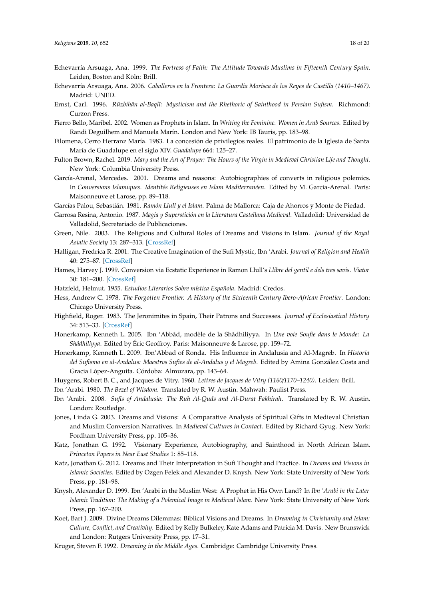- <span id="page-17-4"></span>Echevarría Arsuaga, Ana. 1999. *The Fortress of Faith: The Attitude Towards Muslims in Fifteenth Century Spain*. Leiden, Boston and Köln: Brill.
- <span id="page-17-3"></span>Echevarría Arsuaga, Ana. 2006. *Caballeros en la Frontera: La Guardia Morisca de los Reyes de Castilla (1410–1467)*. Madrid: UNED.
- <span id="page-17-11"></span>Ernst, Carl. 1996. Rūzbihān al-Baqlī: Mysticism and the Rhethoric of Sainthood in Persian Sufism. Richmond: Curzon Press.
- <span id="page-17-16"></span>Fierro Bello, Maribel. 2002. Women as Prophets in Islam. In *Writing the Feminine. Women in Arab Sources*. Edited by Randi Deguilhem and Manuela Marín. London and New York: IB Tauris, pp. 183–98.
- <span id="page-17-0"></span>Filomena, Cerro Herranz María. 1983. La concesión de privilegios reales. El patrimonio de la Iglesia de Santa María de Guadalupe en el siglo XIV. *Guadalupe* 664: 125–27.
- <span id="page-17-15"></span>Fulton Brown, Rachel. 2019. *Mary and the Art of Prayer: The Hours of the Virgin in Medieval Christian Life and Thought*. New York: Columbia University Press.
- <span id="page-17-13"></span>García-Arenal, Mercedes. 2001. Dreams and reasons: Autobiographies of converts in religious polemics. In *Conversions Islamiques. Identités Religieuses en Islam Mediterranéen*. Edited by M. García-Arenal. Paris: Maisonneuve et Larose, pp. 89–118.
- <span id="page-17-23"></span>Garcías Palou, Sebastián. 1981. *Ramón Llull y el Islam*. Palma de Mallorca: Caja de Ahorros y Monte de Piedad.
- <span id="page-17-8"></span>Garrosa Resina, Antonio. 1987. *Magia y Superstición en la Literatura Castellana Medieval*. Valladolid: Universidad de Valladolid, Secretariado de Publicaciones.
- <span id="page-17-9"></span>Green, Nile. 2003. The Religious and Cultural Roles of Dreams and Visions in Islam. *Journal of the Royal Asiatic Society* 13: 287–313. [\[CrossRef\]](http://dx.doi.org/10.1017/S1356186303003110)
- <span id="page-17-12"></span>Halligan, Fredrica R. 2001. The Creative Imagination of the Sufi Mystic, Ibn 'Arabi. *Journal of Religion and Health* 40: 275–87. [\[CrossRef\]](http://dx.doi.org/10.1023/A:1012557708145)
- <span id="page-17-19"></span>Hames, Harvey J. 1999. Conversion via Ecstatic Experience in Ramon Llull's *Llibre del gentil e dels tres savis*. *Viator* 30: 181–200. [\[CrossRef\]](http://dx.doi.org/10.1484/J.VIATOR.2.300834)
- <span id="page-17-18"></span>Hatzfeld, Helmut. 1955. *Estudios Literarios Sobre mística Española*. Madrid: Credos.
- <span id="page-17-2"></span>Hess, Andrew C. 1978. *The Forgotten Frontier. A History of the Sixteenth Century Ibero-African Frontier*. London: Chicago University Press.
- <span id="page-17-1"></span>Highfield, Roger. 1983. The Jeronimites in Spain, Their Patrons and Successes. *Journal of Ecclesiastical History* 34: 513–33. [\[CrossRef\]](http://dx.doi.org/10.1017/S0022046900037416)
- <span id="page-17-24"></span>Honerkamp, Kenneth L. 2005. Ibn 'Abbâd, modèle de la Shâdhiliyya. In *Une voie Soufie dans le Monde: La Shâdhiliyya*. Edited by Éric Geoffroy. Paris: Maisonneuve & Larose, pp. 159–72.
- <span id="page-17-25"></span>Honerkamp, Kenneth L. 2009. Ibn'Abbad of Ronda. His Influence in Andalusia and Al-Magreb. In *Historia del Sufismo en al-Andalus: Maestros Sufíes de al-Andalus y el Magreb*. Edited by Amina González Costa and Gracia López-Anguita. Córdoba: Almuzara, pp. 143–64.
- <span id="page-17-7"></span>Huygens, Robert B. C., and Jacques de Vitry. 1960. *Lettres de Jacques de Vitry (1160*/*1170–1240)*. Leiden: Brill.
- <span id="page-17-20"></span>Ibn 'Arabi. 1980. *The Bezel of Wisdom*. Translated by R. W. Austin. Mahwah: Paulist Press.
- <span id="page-17-21"></span>Ibn 'Arabi. 2008. *Sufis of Andalusia: The Ruh Al-Quds and Al-Durat Fakhirah*. Translated by R. W. Austin. London: Routledge.
- <span id="page-17-17"></span>Jones, Linda G. 2003. Dreams and Visions: A Comparative Analysis of Spiritual Gifts in Medieval Christian and Muslim Conversion Narratives. In *Medieval Cultures in Contact*. Edited by Richard Gyug. New York: Fordham University Press, pp. 105–36.
- <span id="page-17-14"></span>Katz, Jonathan G. 1992. Visionary Experience, Autobiography, and Sainthood in North African Islam. *Princeton Papers in Near East Studies* 1: 85–118.
- <span id="page-17-10"></span>Katz, Jonathan G. 2012. Dreams and Their Interpretation in Sufi Thought and Practice. In *Dreams and Visions in Islamic Societies*. Edited by Ozgen Felek and Alexander D. Knysh. New York: State University of New York Press, pp. 181–98.
- <span id="page-17-22"></span>Knysh, Alexander D. 1999. Ibn 'Arabi in the Muslim West: A Prophet in His Own Land? In *Ibn 'Arabi in the Later Islamic Tradition: The Making of a Polemical Image in Medieval Islam*. New York: State University of New York Press, pp. 167–200.
- <span id="page-17-5"></span>Koet, Bart J. 2009. Divine Dreams Dilemmas: Biblical Visions and Dreams. In *Dreaming in Christianity and Islam: Culture, Conflict, and Creativity*. Edited by Kelly Bulkeley, Kate Adams and Patricia M. Davis. New Brunswick and London: Rutgers University Press, pp. 17–31.
- <span id="page-17-6"></span>Kruger, Steven F. 1992. *Dreaming in the Middle Ages*. Cambridge: Cambridge University Press.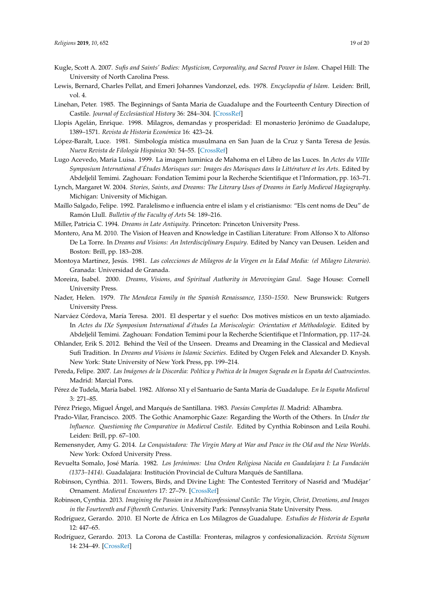- <span id="page-18-23"></span>Kugle, Scott A. 2007. *Sufis and Saints' Bodies: Mysticism, Corporeality, and Sacred Power in Islam*. Chapel Hill: The University of North Carolina Press.
- <span id="page-18-14"></span>Lewis, Bernard, Charles Pellat, and Emeri Johannes Vandonzel, eds. 1978. *Encyclopedia of Islam*. Leiden: Brill, vol. 4.
- <span id="page-18-0"></span>Linehan, Peter. 1985. The Beginnings of Santa Maria de Guadalupe and the Fourteenth Century Direction of Castile. *Journal of Ecclesiastical History* 36: 284–304. [\[CrossRef\]](http://dx.doi.org/10.1017/S0022046900038756)
- <span id="page-18-2"></span>Llopis Agelán, Enrique. 1998. Milagros, demandas y prosperidad: El monasterio Jerónimo de Guadalupe, 1389–1571. *Revista de Historia Económica* 16: 423–24.
- <span id="page-18-19"></span>López-Baralt, Luce. 1981. Simbología mística musulmana en San Juan de la Cruz y Santa Teresa de Jesús. *Nueva Revista de Filología Hispánica* 30: 54–55. [\[CrossRef\]](http://dx.doi.org/10.24201/nrfh.v30i1.1763)
- <span id="page-18-18"></span>Lugo Acevedo, Maria Luisa. 1999. La imagen luminica de Mahoma en el Libro de las Luces. In *Actes du VIIIe Symposium International d'Études Morisques sur: Images des Morisques dans la Littérature et les Arts*. Edited by Abdeljelil Temimi. Zaghouan: Fondation Temimi pour la Recherche Scientifique et l'Information, pp. 163–71.
- <span id="page-18-11"></span>Lynch, Margaret W. 2004. *Stories, Saints, and Dreams: The Literary Uses of Dreams in Early Medieval Hagiography*. Michigan: University of Michigan.
- <span id="page-18-21"></span>Maíllo Salgado, Felipe. 1992. Paralelismo e influencia entre el islam y el cristianismo: "Els cent noms de Deu" de Ramón Llull. *Bulletin of the Faculty of Arts* 54: 189–216.
- <span id="page-18-15"></span><span id="page-18-10"></span>Miller, Patricia C. 1994. *Dreams in Late Antiquity*. Princeton: Princeton University Press.
- Montero, Ana M. 2010. The Vision of Heaven and Knowledge in Castilian Literature: From Alfonso X to Alfonso De La Torre. In *Dreams and Visions: An Interdisciplinary Enquiry*. Edited by Nancy van Deusen. Leiden and Boston: Brill, pp. 183–208.
- <span id="page-18-12"></span>Montoya Martínez, Jesús. 1981. *Las colecciones de Milagros de la Virgen en la Edad Media: (el Milagro Literario)*. Granada: Universidad de Granada.
- <span id="page-18-16"></span>Moreira, Isabel. 2000. *Dreams, Visions, and Spiritual Authority in Merovingian Gaul*. Sage House: Cornell University Press.
- <span id="page-18-4"></span>Nader, Helen. 1979. *The Mendoza Family in the Spanish Renaissance, 1350–1550*. New Brunswick: Rutgers University Press.
- <span id="page-18-22"></span>Narváez Córdova, María Teresa. 2001. El despertar y el sueño: Dos motives místicos en un texto aljamiado. In *Actes du IXe Symposium International d'études La Moriscologie: Orientation et Méthodologie*. Edited by Abdeljelil Temimi. Zaghouan: Fondation Temimi pour la Recherche Scientifique et l'Information, pp. 117–24.
- <span id="page-18-13"></span>Ohlander, Erik S. 2012. Behind the Veil of the Unseen. Dreams and Dreaming in the Classical and Medieval Sufi Tradition. In *Dreams and Visions in Islamic Societies*. Edited by Ozgen Felek and Alexander D. Knysh. New York: State University of New York Press, pp. 199–214.
- <span id="page-18-8"></span>Pereda, Felipe. 2007. *Las Imágenes de la Discordia: Política y Poética de la Imagen Sagrada en la España del Cuatrocientos*. Madrid: Marcial Pons.
- <span id="page-18-1"></span>Pérez de Tudela, María Isabel. 1982. Alfonso XI y el Santuario de Santa María de Guadalupe. *En la España Medieval* 3: 271–85.
- <span id="page-18-20"></span><span id="page-18-6"></span>Pérez Priego, Miguel Ángel, and Marqués de Santillana. 1983. *Poesías Completas II*. Madrid: Alhambra.
- Prado-Vilar, Francisco. 2005. The Gothic Anamorphic Gaze: Regarding the Worth of the Others. In *Under the lnfluence. Questioning the Comparative in Medieval Castile*. Edited by Cynthia Robinson and Leila Rouhi. Leiden: Brill, pp. 67–100.
- <span id="page-18-5"></span>Remensnyder, Amy G. 2014. *La Conquistadora: The Virgin Mary at War and Peace in the Old and the New Worlds*. New York: Oxford University Press.
- <span id="page-18-3"></span>Revuelta Somalo, José María. 1982. *Los Jerónimos: Una Orden Religiosa Nacida en Guadalajara I: La Fundación (1373–1414)*. Guadalajara: Institución Provincial de Cultura Marqués de Santillana.
- <span id="page-18-17"></span>Robinson, Cynthia. 2011. Towers, Birds, and Divine Light: The Contested Territory of Nasrid and 'Mudéjar' Ornament. *Medieval Encounters* 17: 27–79. [\[CrossRef\]](http://dx.doi.org/10.1163/157006711X561712)
- <span id="page-18-7"></span>Robinson, Cynthia. 2013. *Imagining the Passion in a Multiconfessional Castile: The Virgin, Christ, Devotions, and Images in the Fourteenth and Fifteenth Centuries*. University Park: Pennsylvania State University Press.
- <span id="page-18-9"></span>Rodríguez, Gerardo. 2010. El Norte de África en Los Milagros de Guadalupe. *Estudios de Historia de España* 12: 447–65.
- <span id="page-18-24"></span>Rodríguez, Gerardo. 2013. La Corona de Castilla: Fronteras, milagros y confesionalización. *Revista Signum* 14: 234–49. [\[CrossRef\]](http://dx.doi.org/10.21572/2177-7306.2014.v14.n2.12)